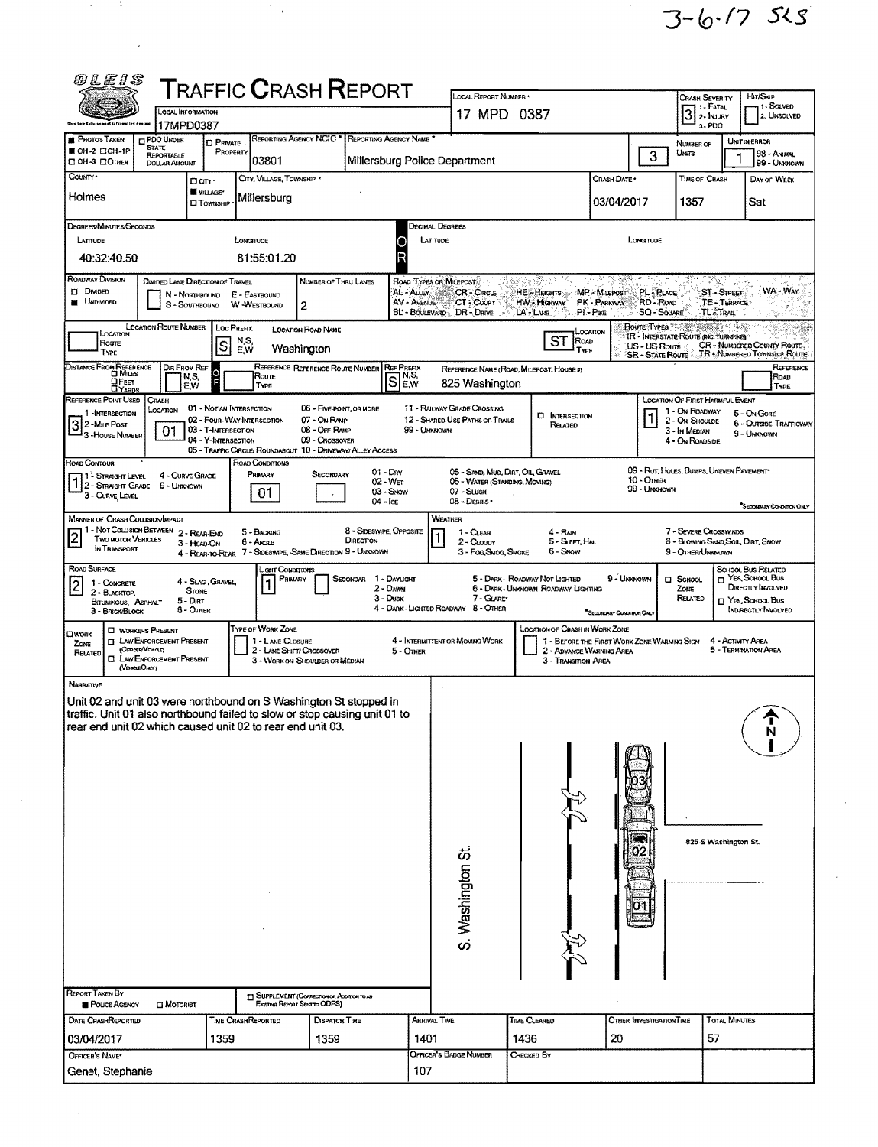$3-6.75$  525

| <i>®LE1S</i>                                                                                                                                    |                                                       |                                                        |                           |                                 | <b>T</b> RAFFIC <b>C</b> RASH <b>R</b> EPORT                                           |                                      |                                    |                                                                    |                                |                                                                         |                                |                                          |                                                             |                                     |                                                             |
|-------------------------------------------------------------------------------------------------------------------------------------------------|-------------------------------------------------------|--------------------------------------------------------|---------------------------|---------------------------------|----------------------------------------------------------------------------------------|--------------------------------------|------------------------------------|--------------------------------------------------------------------|--------------------------------|-------------------------------------------------------------------------|--------------------------------|------------------------------------------|-------------------------------------------------------------|-------------------------------------|-------------------------------------------------------------|
|                                                                                                                                                 | OCAL INFORMATION                                      |                                                        |                           |                                 |                                                                                        |                                      |                                    | LOCAL REPORT NUMBER<br>17 MPD 0387                                 |                                |                                                                         |                                |                                          | <b>CRASH SEVERITY</b>                                       | Hir/Skip<br>1-SOLVED<br>7 I - FATAL |                                                             |
| this Law Externament determation dentro                                                                                                         | 17MPD0387                                             |                                                        |                           |                                 |                                                                                        |                                      |                                    |                                                                    |                                |                                                                         |                                |                                          | $3$ 2- $\frac{1}{2}$<br>3-PDO                               |                                     | 2. UNSOLVED                                                 |
| PHOTOS TAKEN<br>■ OH-2 口OH-1P                                                                                                                   | PDO UNDER<br><b>STATE</b>                             | <b>CI PRIVATE</b>                                      | PROPERTY                  |                                 | REPORTING AGENCY NCIC <sup>*</sup> REPORTING AGENCY NAME                               |                                      |                                    |                                                                    |                                |                                                                         |                                |                                          | NUMBER OF<br>UMTS                                           |                                     | UNIT IN ERROR<br>98 - ANIMAL                                |
| <b>CIOH-3 COMER</b>                                                                                                                             | <b>REPORTABLE</b><br><b>DOLLAR AMOUNT</b>             |                                                        |                           | 03801                           |                                                                                        |                                      |                                    | Millersburg Police Department                                      |                                |                                                                         |                                | 3                                        |                                                             |                                     | 99 - Unknown                                                |
| County .                                                                                                                                        |                                                       | Darr-<br>VILLAGE*                                      |                           | CITY, VILLAGE, TOWNSHIP *       |                                                                                        |                                      |                                    |                                                                    |                                |                                                                         | Crash Date *                   |                                          | TIME OF CRASH                                               |                                     | DAY OF WEEK                                                 |
| Holmes                                                                                                                                          |                                                       | <b>CI TOWNSHIP</b>                                     |                           | Millersburg                     |                                                                                        |                                      |                                    |                                                                    |                                |                                                                         | 03/04/2017                     |                                          | 1357                                                        |                                     | Sat                                                         |
| DEGREES/MINUTES/SECONDS                                                                                                                         |                                                       |                                                        |                           |                                 |                                                                                        |                                      |                                    | Decimal Degrees                                                    |                                |                                                                         |                                |                                          |                                                             |                                     |                                                             |
| LATITUDE<br>40:32:40.50                                                                                                                         |                                                       |                                                        | LONGITUDE                 |                                 |                                                                                        |                                      | С<br>F                             | LATITUDE                                                           |                                |                                                                         |                                | LONGITUDE                                |                                                             |                                     |                                                             |
| <b>ROADWAY DIVISION</b>                                                                                                                         |                                                       |                                                        |                           | 81:55:01.20                     |                                                                                        |                                      |                                    |                                                                    |                                |                                                                         |                                |                                          |                                                             |                                     |                                                             |
| <b>DI DIMOED</b>                                                                                                                                | DIVIDED LANE DIRECTION OF TRAVEL                      | N - NORTHBOUND                                         | E - EASTBOUND             |                                 | NUMBER OF THRU LANES                                                                   |                                      | AL - ALLEY                         | ROAD TYPES OR MILEPOST<br><b>CR-CIRCLE</b>                         | 2999 : 225<br>HE - Heights     |                                                                         | MP - MILEPOST                  | <b>PL-Ruce</b>                           |                                                             | $ST - S$ TREET                      | WA WAY                                                      |
| <b>UNDIVIDED</b>                                                                                                                                |                                                       | S - SOUTHBOUND                                         |                           | W-WESTBOUND                     | $\overline{c}$                                                                         |                                      | AV - AVENUE                        | CT - COURT<br>BL - BOULEVARD DR - DRIVE                            | HW - Highway<br>LA-LANE        |                                                                         | PK - PARKWAY<br>$PI - P_{IKE}$ | RD - Roap<br><b>SQ - SQUARE</b>          |                                                             | TE-TERRACE<br>TL. TRAIL             |                                                             |
| LOCATION                                                                                                                                        | LOCATION ROUTE NUMBER                                 |                                                        | Loc Prenx<br>N,S,         |                                 | <b>LOCATION ROAD NAME</b>                                                              |                                      |                                    |                                                                    |                                | Location<br>ST<br>ROAD                                                  |                                | <b>Route Types</b> 166                   | IR - INTERSTATE ROUTE (INC. TURNPIKE)                       |                                     |                                                             |
| Route<br>Type                                                                                                                                   |                                                       | $\vert$ S                                              | E,W                       |                                 | Washington                                                                             |                                      |                                    |                                                                    |                                | TYPE                                                                    |                                | US - US Roure<br><b>SR - STATE ROUTE</b> |                                                             |                                     | CR + NUMBERED COUNTY ROUTE.<br>TR - NUMBERED TOWNSHIP ROUTE |
| DISTANCE FROM REFERENCE<br>OFEET                                                                                                                | DIR FROM REF                                          | N,S,                                                   |                           | <b>Route</b>                    | REFERENCE REFERENCE ROUTE NUMBER                                                       |                                      | <b>REF PREFIX</b><br>$S_{F}^{N,S}$ | REFERENCE NAME (ROAD, MILEPOST, HOUSE #)                           |                                |                                                                         |                                |                                          |                                                             |                                     | REFERENCE<br>Road                                           |
| <b>LIYABDS</b><br>REFERENCE POINT USED                                                                                                          | CRASH                                                 | E.W                                                    |                           | TYPE                            |                                                                                        |                                      |                                    | 825 Washington                                                     |                                |                                                                         |                                |                                          | <b>LOCATION OF FIRST HARMFUL EVENT</b>                      |                                     | <b>TYPE</b>                                                 |
| 1 - INTERSECTION                                                                                                                                | LOCATION                                              | 01 - NOT AN INTERSECTION<br>02 - FOUR-WAY INTERSECTION |                           |                                 | 06 - FIVE-POINT, OR MORE<br>07 - On RAMP                                               |                                      |                                    | 11 - RAILWAY GRADE CROSSING<br>12 - SHARED-USE PATHS OR TRAILS     |                                | <b>CI INTERSECTION</b>                                                  |                                |                                          | 1 - On ROADWAY<br>2 - ON SHOULDE                            |                                     | 5 - ON GORE<br><b>6 - OUTSIDE TRAFFICWAY</b>                |
| 3 2 - MILE POST<br>3-HOUSE NUMBER                                                                                                               | 01                                                    | 03 - T-INTERSECTION<br>04 - Y-INTERSECTION             |                           |                                 | 08 - Off RAMP<br>09 - Crossover                                                        |                                      | 99 - Unknown                       |                                                                    |                                | RELATED                                                                 |                                |                                          | 3 - In Median<br>4 - ON ROADSIDE                            |                                     | 9 - UNKNOWN                                                 |
| ROAD CONTOUR                                                                                                                                    |                                                       |                                                        |                           | ROAD CONDITIONS                 | 05 - Traffic Circle/Roundabout 10 - Driveway/Alley Access                              |                                      |                                    |                                                                    |                                |                                                                         |                                |                                          |                                                             |                                     |                                                             |
| 1 <sup>'</sup> Straight Level<br>$1\overline{\smash{)}\,2\overline{\smash{)}}\,$ Straight Grade 9 - Unknown                                     | 4 - CURVE GRADE                                       |                                                        |                           | PRIMARY                         | SECONDARY                                                                              |                                      | $01 -$ Day<br>02 - Wer             | 05 - SAND, MUD, DIRT, OIL, GRAVEL<br>06 - WATER (STANDING, MOVING) |                                |                                                                         |                                | <b>10 - OTHER</b>                        | 09 - RUT, HOLES, BUMPS, UNEVEN PAVEMENT                     |                                     |                                                             |
| 3 - CURVE LEVEL                                                                                                                                 |                                                       |                                                        |                           | 01                              |                                                                                        |                                      | 03 - Snow<br>$04  ice$             | 07 - SLUSH<br>08 - DEBRIS                                          |                                |                                                                         |                                | 99 - Unknown                             |                                                             |                                     | SECONDARY CONDITION ONLY                                    |
| <b>MANNER OF CRASH COLLISION/IMPACT</b>                                                                                                         |                                                       |                                                        |                           |                                 |                                                                                        |                                      |                                    | WEATHER                                                            |                                |                                                                         |                                |                                          |                                                             |                                     |                                                             |
| 1 - Not Collision Between 2 - Rear-End<br>$\sqrt{2}$<br><b>TWO MOTOR VEHICLES</b><br>IN TRANSPORT                                               |                                                       | 3 - HEAD-ON                                            |                           | 5 - BACKING<br>6 - Angle        |                                                                                        | 8 - Sideswipe, Opposite<br>DIRECTION |                                    | 1 - CLEAR<br>2 - CLOUDY                                            |                                | 4 - Rain<br>5 - Sleet, Hail                                             |                                |                                          | 7 - SEVERE CROSSWINDS<br>8 - BLOWING SAND, SOIL, DIRT, SNOW |                                     |                                                             |
| ROAD SURFACE                                                                                                                                    |                                                       |                                                        |                           |                                 | 4 - REAR-TO-REAR 7 - SIDESWIPE, -SAME DIRECTION 9 - UNKNOWN                            |                                      |                                    | 3 - Fog, Smog, Smoke                                               |                                | 6 - Snow                                                                |                                |                                          | 9 - OTHER/UNKNOWN                                           |                                     |                                                             |
| 1 - CONCRETE<br>$\overline{2}$                                                                                                                  |                                                       | 4 - Slag, Gravel,                                      |                           | JGHT CONDITIONS<br>PRIMARY<br>1 |                                                                                        | Secondar                             | 1 - Dayught<br>$2 -$ Dawn          |                                                                    | 5 - DARK - ROADWAY NOT LIGHTED | 6 - DARK - UNKNOWN ROADWAY LIGHTING                                     | 9 - UNKNOWN                    |                                          | □ School<br>Zone                                            |                                     | SCHOOL BUS RELATED<br>NES, SCHOOL BUS<br>DIRECTLY INVOLVED  |
| 2 - BLACKTOP,<br>BITUMINOUS, ASPHALT                                                                                                            |                                                       | <b>STONE</b><br>5 - Diri<br><b>6 - OTHER</b>           |                           |                                 |                                                                                        |                                      | $3 - D$ usk                        | 7 - GLARE*<br>4 - DARK-LIGHTED ROADWAY 8 - OTHER                   |                                |                                                                         |                                |                                          | RELATED                                                     |                                     | T YES, SCHOOL BUS<br><b>INDIRECTLY INVOLVED</b>             |
| 3 - BRICK BLOCK                                                                                                                                 | <b>LI WORKERS PRESENT</b>                             |                                                        |                           | TYPE OF WORK ZONE               |                                                                                        |                                      |                                    |                                                                    |                                | <b>LOCATION OF CRASH IN WORK ZONE</b>                                   | "SECONDARY CONDITION ONLY      |                                          |                                                             |                                     |                                                             |
| <b>CIWORK</b><br>ZONE                                                                                                                           | <b>I LAW ENFORCEMENT PRESENT</b><br>(OFFICER/VEHICLE) |                                                        |                           | 1 - LANE CLOSURE                | 2 - LANE SHIFT/ CROSSOVER                                                              |                                      | 5 - OTHER                          | 4 - INTERMITTENT OR MOVING WORK                                    |                                | 1 - BEFORE THE FIRST WORK ZONE WARNING SIGN<br>2 - ADVANCE WARNING AREA |                                |                                          |                                                             | 4 - ACTIVITY AREA                   | 5 - TERMINATION AREA                                        |
| RELATED<br>о                                                                                                                                    | LAW ENFORCEMENT PRESENT<br>(Voka EOKY)                |                                                        |                           |                                 | 3 - WORK ON SHOULDER OR MEDIAN                                                         |                                      |                                    |                                                                    |                                | 3 - Transition AREA                                                     |                                |                                          |                                                             |                                     |                                                             |
| <b>NARRATIVE</b>                                                                                                                                |                                                       |                                                        |                           |                                 |                                                                                        |                                      |                                    |                                                                    |                                |                                                                         |                                |                                          |                                                             |                                     |                                                             |
| Unit 02 and unit 03 were northbound on S Washington St stopped in<br>traffic. Unit 01 also northbound failed to slow or stop causing unit 01 to |                                                       |                                                        |                           |                                 |                                                                                        |                                      |                                    |                                                                    |                                |                                                                         |                                |                                          |                                                             |                                     |                                                             |
| rear end unit 02 which caused unit 02 to rear end unit 03.                                                                                      |                                                       |                                                        |                           |                                 |                                                                                        |                                      |                                    |                                                                    |                                |                                                                         |                                |                                          |                                                             |                                     | N                                                           |
|                                                                                                                                                 |                                                       |                                                        |                           |                                 |                                                                                        |                                      |                                    |                                                                    |                                |                                                                         |                                |                                          |                                                             |                                     |                                                             |
|                                                                                                                                                 |                                                       |                                                        |                           |                                 |                                                                                        |                                      |                                    |                                                                    |                                |                                                                         |                                |                                          |                                                             |                                     |                                                             |
|                                                                                                                                                 |                                                       |                                                        |                           |                                 |                                                                                        |                                      |                                    |                                                                    |                                |                                                                         |                                |                                          |                                                             |                                     |                                                             |
|                                                                                                                                                 |                                                       |                                                        |                           |                                 |                                                                                        |                                      |                                    |                                                                    |                                |                                                                         |                                |                                          |                                                             |                                     |                                                             |
|                                                                                                                                                 |                                                       |                                                        |                           |                                 |                                                                                        |                                      |                                    |                                                                    |                                |                                                                         |                                |                                          |                                                             |                                     |                                                             |
|                                                                                                                                                 |                                                       |                                                        |                           |                                 |                                                                                        |                                      |                                    |                                                                    |                                |                                                                         |                                |                                          |                                                             | 825-S Washington St.                |                                                             |
|                                                                                                                                                 |                                                       |                                                        |                           |                                 |                                                                                        |                                      |                                    | S. Washington St.                                                  |                                |                                                                         |                                |                                          |                                                             |                                     |                                                             |
|                                                                                                                                                 |                                                       |                                                        |                           |                                 |                                                                                        |                                      |                                    |                                                                    |                                |                                                                         |                                |                                          |                                                             |                                     |                                                             |
|                                                                                                                                                 |                                                       |                                                        |                           |                                 |                                                                                        |                                      |                                    |                                                                    |                                |                                                                         |                                |                                          |                                                             |                                     |                                                             |
|                                                                                                                                                 |                                                       |                                                        |                           |                                 |                                                                                        |                                      |                                    |                                                                    |                                |                                                                         |                                |                                          |                                                             |                                     |                                                             |
|                                                                                                                                                 |                                                       |                                                        |                           |                                 |                                                                                        |                                      |                                    |                                                                    |                                |                                                                         |                                |                                          |                                                             |                                     |                                                             |
|                                                                                                                                                 |                                                       |                                                        |                           |                                 |                                                                                        |                                      |                                    |                                                                    |                                |                                                                         |                                |                                          |                                                             |                                     |                                                             |
| <b>REPORT TAKEN BY</b><br>POUCE AGENCY                                                                                                          | $\square$ Motorist                                    |                                                        |                           |                                 | <sup>1</sup> SUPPLEMENT (CORRECTION OR ADDITION TO AN<br>Existing Report Seve to ODPS) |                                      |                                    |                                                                    |                                |                                                                         |                                |                                          |                                                             |                                     |                                                             |
| DATE CRASHREPORTED                                                                                                                              |                                                       |                                                        | <b>TIME CRASHREPORTED</b> |                                 | <b>DISPATCH TIME</b>                                                                   |                                      |                                    | ARRIVAL TIME                                                       | Time Cleared                   |                                                                         |                                | OTHER INVESTIGATION TIME                 |                                                             | <b>TOTAL MINUTES</b>                |                                                             |
| 03/04/2017                                                                                                                                      |                                                       | 1359                                                   |                           |                                 | 1359                                                                                   |                                      | 1401                               |                                                                    | 1436                           |                                                                         | 20                             |                                          |                                                             | 57                                  |                                                             |
| OFFICER'S NAME*                                                                                                                                 |                                                       |                                                        |                           |                                 |                                                                                        |                                      |                                    | Officer's Badge Number                                             | CHECKED BY                     |                                                                         |                                |                                          |                                                             |                                     |                                                             |
| Genet, Stephanie                                                                                                                                |                                                       |                                                        |                           |                                 |                                                                                        |                                      | 107                                |                                                                    |                                |                                                                         |                                |                                          |                                                             |                                     |                                                             |

 $\mathcal{L}_{\text{max}} = \mathbf{1} \times \mathcal{L}_{\text{max}}$ 

 $\overline{\phantom{a}}$ 

 $\mathcal{L}^{\text{max}}_{\text{max}}$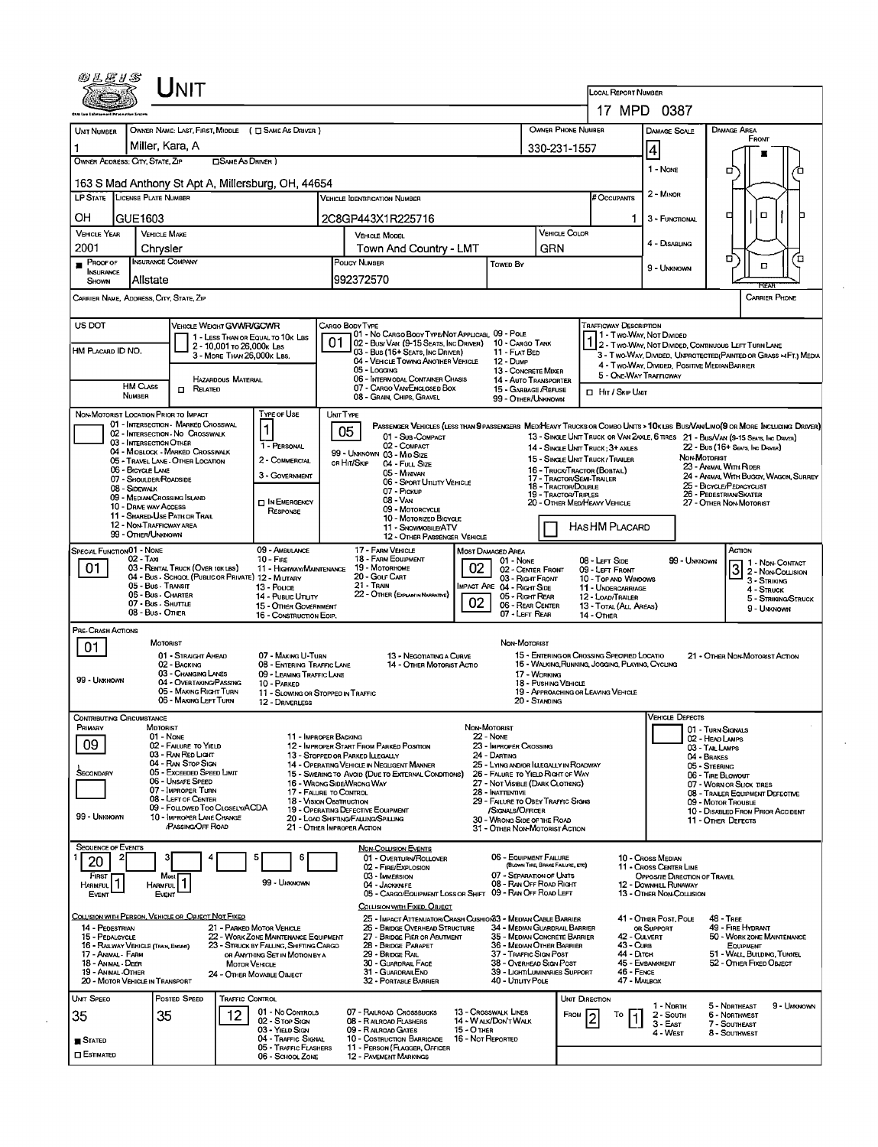|                                                         | UNIT                                                                                    |                                                         |                                                                                |                                                |                                                                                                         |                   |                                                                       |                                             |                                                                                                |                                         |                                             |                                                 |                                                                                                                                                                                                                    |  |
|---------------------------------------------------------|-----------------------------------------------------------------------------------------|---------------------------------------------------------|--------------------------------------------------------------------------------|------------------------------------------------|---------------------------------------------------------------------------------------------------------|-------------------|-----------------------------------------------------------------------|---------------------------------------------|------------------------------------------------------------------------------------------------|-----------------------------------------|---------------------------------------------|-------------------------------------------------|--------------------------------------------------------------------------------------------------------------------------------------------------------------------------------------------------------------------|--|
|                                                         |                                                                                         |                                                         |                                                                                |                                                |                                                                                                         |                   |                                                                       |                                             |                                                                                                | <b>LOCAL REPORT NUMBER</b>              |                                             |                                                 |                                                                                                                                                                                                                    |  |
|                                                         |                                                                                         |                                                         |                                                                                |                                                |                                                                                                         |                   |                                                                       |                                             | OWNER PHONE NUMBER                                                                             |                                         | 17 MPD 0387                                 |                                                 | <b>DAMAGE AREA</b>                                                                                                                                                                                                 |  |
| <b>UNIT NUMBER</b>                                      | OWNER NAME: LAST, FIRST, MIDDLE ( C SAME AS DRIVER )<br>Miller, Kara, A                 |                                                         |                                                                                |                                                |                                                                                                         |                   |                                                                       | 330-231-1557                                |                                                                                                |                                         | <b>DAMAGE SCALE</b><br>4                    |                                                 | FRONT                                                                                                                                                                                                              |  |
| OWNER ADDRESS: CITY, STATE, ZIP                         |                                                                                         | <b>CLSAME AS DRIVER</b>                                 |                                                                                |                                                |                                                                                                         |                   |                                                                       |                                             |                                                                                                |                                         | $1 - Now$                                   |                                                 | □                                                                                                                                                                                                                  |  |
|                                                         | 163 S Mad Anthony St Apt A, Millersburg, OH, 44654                                      |                                                         |                                                                                |                                                |                                                                                                         |                   |                                                                       |                                             |                                                                                                |                                         |                                             |                                                 |                                                                                                                                                                                                                    |  |
| LP STATE LICENSE PLATE NUMBER                           |                                                                                         |                                                         |                                                                                |                                                | Vehicle Identification Number                                                                           |                   |                                                                       |                                             |                                                                                                |                                         | 2 - Minon                                   |                                                 |                                                                                                                                                                                                                    |  |
| OН<br>GUE1603                                           |                                                                                         |                                                         |                                                                                |                                                | 2C8GP443X1R225716                                                                                       |                   |                                                                       | <b>VEHICLE COLOR</b>                        |                                                                                                | 1.                                      | 3 - FUNCTIONAL                              |                                                 | о<br>□                                                                                                                                                                                                             |  |
| <b>VEHICLE YEAR</b><br>2001                             | <b>VEHICLE MAKE</b><br>Chrysler                                                         |                                                         |                                                                                | <b>VEHICLE MODEL</b><br>Town And Country - LMT |                                                                                                         |                   |                                                                       | GRN                                         |                                                                                                |                                         | 4 - DISABLING                               |                                                 |                                                                                                                                                                                                                    |  |
| PROOF OF<br>INSURANCE                                   | <b>INSURANCE COMPANY</b>                                                                |                                                         |                                                                                |                                                | POLICY NUMBER                                                                                           | Towed By          |                                                                       |                                             |                                                                                                | 9 - UNKNOWN                             |                                             | ם′<br>о<br>□                                    |                                                                                                                                                                                                                    |  |
| <b>SHOWN</b>                                            | Alistate                                                                                |                                                         |                                                                                |                                                | 992372570                                                                                               |                   |                                                                       |                                             |                                                                                                |                                         |                                             |                                                 | REAR                                                                                                                                                                                                               |  |
| CARRIER NAME, ADDRESS, CITY, STATE, ZIP                 |                                                                                         |                                                         |                                                                                |                                                |                                                                                                         |                   |                                                                       |                                             |                                                                                                |                                         |                                             |                                                 | <b>CARRIER PHONE</b>                                                                                                                                                                                               |  |
| US DOT                                                  | <b>VEHICLE WEIGHT GVWR/GCWR</b>                                                         |                                                         |                                                                                |                                                | CARGO BODY TYPE<br>01 - No CARGO BODY TYPE/NOT APPLICABL 09 - POLE                                      |                   |                                                                       |                                             |                                                                                                | <b>TRAFFICWAY DESCRIPTION</b>           | 1 - Two-Way, Not Divided                    |                                                 |                                                                                                                                                                                                                    |  |
| HM PLACARD ID NO.                                       |                                                                                         | 2 - 10,001 то 26,000к Las<br>3 - MORE THAN 26,000K LBS. | 1 - LESS THAN OR EQUAL TO 10K LBS                                              |                                                | 02 - Bus/ Van (9-15 Seats, Inc Driver)<br>03 - Bus (16+ Seats, Inc Driver)                              |                   | 10 - Cargo Tank<br>11 - FLAT BED                                      |                                             |                                                                                                |                                         |                                             |                                                 | 1 2 - Two-Way, NOT DIVIDED, CONTINUOUS LEFT TURN LANE<br>3 - T WO-WAY, DIVIDED, UNPROTECTED (PAINTED OR GRASS > FT.) MEDIA                                                                                         |  |
|                                                         |                                                                                         |                                                         |                                                                                |                                                | 04 - VEHICLE TOWING ANOTHER VEHICLE<br>05 - Logging<br>06 - INTERMODAL CONTAINER CHASIS                 |                   | <b>12 - Dump</b><br>13 - CONCRETE MIXER                               |                                             |                                                                                                |                                         | 5 - ONE-WAY TRAFFICWAY                      |                                                 | 4 - Two-Way, DIVIDED, POSITIVE MEDIANBARRIER                                                                                                                                                                       |  |
| <b>HM CLASS</b><br>NUMBER                               | $\Box$ Related                                                                          | <b>HAZARDOUS MATERIAL</b>                               |                                                                                |                                                | 07 - CARGO VAN/ENGLOSED BOX<br>08 - GRAIN, CHIPS, GRAVEL                                                |                   | 14 - AUTO TRANSPORTER<br>15 - GARBAGE /REFUSE<br>99 - OTHER/UNKNOWN   |                                             | <b>CI HIT / SKIP UNIT</b>                                                                      |                                         |                                             |                                                 |                                                                                                                                                                                                                    |  |
| NON-MOTORIST LOCATION PRIOR TO IMPACT                   |                                                                                         |                                                         | TYPE OF USE                                                                    | UNIT TYPE                                      |                                                                                                         |                   |                                                                       |                                             |                                                                                                |                                         |                                             |                                                 |                                                                                                                                                                                                                    |  |
|                                                         | 01 - INTERSECTION - MARKED CROSSWAL<br>02 - INTERSECTION No CROSSWALK                   |                                                         | 1                                                                              |                                                | 05<br>01 - Sub-COMPACT                                                                                  |                   |                                                                       |                                             |                                                                                                |                                         |                                             |                                                 | PASSENGER VEHICLES (LESS THAN 9 PASSENGERS MED/HEAVY TRUCKS OR COMBO UNTS > 10K LBS BUS/VAN/LIMO(9 OR MORE INCLUDING DRIVER)<br>13 - SINGLE UNIT TRUCK OR VAN 2AXLE, 6 TIRES 21 - BUS/VAN (9-15 SEATS, INC DRIVER) |  |
|                                                         | 03 - INTERSECTION OTHER<br>04 - MIOBLOCK - MARKED CROSSWALK                             |                                                         | 1 - PERSONAL<br>2 - COMMERCIAL                                                 |                                                | 02 - COMPACT<br>99 - UNKNOWN 03 - MID SIZE                                                              |                   |                                                                       |                                             | 14 - SINGLE UNIT TRUCK: 3+ AXLES<br>15 - SINGLE UNIT TRUCK / TRAILER                           |                                         |                                             | NON MOTORIST                                    | 22 - Bus (16+ Seats, Inc Draver)                                                                                                                                                                                   |  |
| 06 - BICYCLE LANE                                       | 05 - TRAVEL LANE - OTHER LOCATION<br>07 - SHOULDER/ROADSIDE                             |                                                         | 3 - GOVERNMENT                                                                 |                                                | OR HIT/SKIP<br>04 - Full Size<br>05 - MINIVAN                                                           |                   |                                                                       |                                             | 16 - Truck/Tractor (BOBTAIL)<br>17 - TRACTOR/SEMI-TRAILER                                      |                                         |                                             |                                                 | 23 - Animal With Rider<br>24 - ANIMAL WITH BUGGY, WAGON, SURREY                                                                                                                                                    |  |
| 08 - Sidewalk                                           | 09 - MEDIAN CROSSING ISLAND                                                             |                                                         |                                                                                |                                                | 06 - SPORT UTILITY VEHICLE<br>07 - Pickup<br>08 - VAN                                                   |                   |                                                                       | 18 - TRACTOR/DOUBLE<br>19 - TRACTOR/TRIPLES |                                                                                                |                                         |                                             |                                                 | 25 - BICYCLE/PEDACYCLIST<br>26 - PEDESTRIAN SKATER                                                                                                                                                                 |  |
|                                                         | 10 - DRIVE WAY ACCESS<br>11 - SHARED-USE PATH OR TRAIL                                  |                                                         | <b>IT IN EMERGENCY</b><br>RESPONSE                                             |                                                | 09 - MOTORCYCLE<br>10 - MOTORIZED BICYCLE                                                               |                   |                                                                       |                                             | 20 - OTHER MEDIHEAVY VEHICLE                                                                   |                                         |                                             |                                                 | 27 - OTHER NON-MOTORIST                                                                                                                                                                                            |  |
|                                                         | 12 - NON-TRAFFICWAY AREA<br>99 - OTHER/UNKNOWN                                          |                                                         |                                                                                |                                                | 11 - SNOWMOBILE/ATV<br>12 - OTHER PASSENGER VEHICLE                                                     |                   |                                                                       |                                             | HASHM PLACARD                                                                                  |                                         |                                             |                                                 |                                                                                                                                                                                                                    |  |
| SPECIAL FUNCTION 01 - NONE                              | 02 - Taxi                                                                               |                                                         | 09 - AMBULANCE<br>$10 -$ Fine                                                  |                                                | 17 - FARM VEHICLE<br>18 - FARM EQUIPMENT                                                                |                   | MOST DAMAGED AREA<br>01 - NONE                                        |                                             | $08 - Lerr$ Side                                                                               |                                         |                                             | 99 - UNKNOWN                                    | Астом<br>1 - Non-Contact                                                                                                                                                                                           |  |
| 01                                                      | 03 - RENTAL TRUCK (OVER 10K LBS)<br>04 - Bus - SCHOOL (PUBLIC OR PRIVATE) 12 - MILITARY |                                                         | 11 - HIGHWAY/MAINTENANCE                                                       |                                                | 19 - Мотовноме<br>20 - GOLF CART                                                                        | 02                | 02 - CENTER FRONT<br>03 - Right FRONT                                 |                                             |                                                                                                | 09 - LEFT FRONT<br>10 - Top and Windows |                                             |                                                 | 3<br>2 - Non-Collision<br>3 - STRIKING                                                                                                                                                                             |  |
|                                                         | 05 - Bus - Transit<br>06 - Bus - CHARTER                                                |                                                         | 13 - Pouce<br>14 - Pusuc Unury                                                 |                                                | 21 - TRAIN<br>22 - OTHER (EXPLANIN NARRATIVE)                                                           | 02                | <b>IMPACT ARE 04 - RIGHT SIDE</b><br>05 - Right Rear                  |                                             |                                                                                                | 11 - UNDERCARRIAGE<br>12 - LOAD/TRAILER |                                             |                                                 | 4 - Struck<br>5 - STRIKING/STRUCK                                                                                                                                                                                  |  |
|                                                         | 07 - Bus - SHUTTLE<br>08 - Bus - Other                                                  |                                                         | 15 - OTHER GOVERNMENT<br>16 - CONSTRUCTION EOIP.                               |                                                |                                                                                                         |                   | 06 - REAR CENTER<br>07 - LEFT REAR                                    |                                             | 14 - Отнев                                                                                     | 13 - TOTAL (ALL AREAS)                  |                                             |                                                 | 9 - UNKNOWN                                                                                                                                                                                                        |  |
| PRE-CRASH ACTIONS                                       | MOTORIST                                                                                |                                                         |                                                                                |                                                |                                                                                                         |                   | NON-MOTORIST                                                          |                                             |                                                                                                |                                         |                                             |                                                 |                                                                                                                                                                                                                    |  |
| 01                                                      | 01 - STRAIGHT AHEAD<br>02 - BACKING                                                     |                                                         | 07 - MAKING U-TURN<br>08 - ENTERING TRAFFIC LANE                               |                                                | 13 - Negotiating a Curve<br>14 - OTHER MOTORIST ACTIO                                                   |                   |                                                                       |                                             | 15 - ENTERING OR CROSSING SPECIFIED LOCATIO<br>16 - WALKING RUNNING, JOGGING, PLAYING, CYCLING |                                         |                                             |                                                 | 21 - OTHER NON-MOTORIST ACTION                                                                                                                                                                                     |  |
| 99 - UNKNOWN                                            | 03 - CHANGING LANES<br>04 - OVERTAKING PASSING                                          |                                                         | 09 - LEAVING TRAFFIC LANE<br>10 - PARKED                                       |                                                |                                                                                                         |                   |                                                                       | 17 - WORKING<br>18 - PUSHING VEHICLE        |                                                                                                |                                         |                                             |                                                 |                                                                                                                                                                                                                    |  |
|                                                         | 05 - MAKING RIGHT TURN<br>06 - MAKING LEFT TURN                                         |                                                         | 11 - Slowing or Stopped in Traffic<br>12 - DRIVERLESS                          |                                                |                                                                                                         |                   |                                                                       | 20 - Standing                               | 19 - APPROACHING OR LEAVING VEHICLE                                                            |                                         |                                             |                                                 |                                                                                                                                                                                                                    |  |
| Contributing Circumstance                               |                                                                                         |                                                         |                                                                                |                                                |                                                                                                         |                   | NON-MOTORIST                                                          |                                             |                                                                                                |                                         | VEHICLE LJEFECTS                            |                                                 |                                                                                                                                                                                                                    |  |
| Primary<br>09                                           | MOTORIST<br>01 - None<br>02 - FAILURE TO YIELD                                          |                                                         | 11 - IMPROPER BACKING                                                          |                                                | 12 - IMPROPER START FROM PARKED POSITION                                                                |                   | $22 - None$<br>23 - IMPROPER CROSSING                                 |                                             |                                                                                                |                                         |                                             | 02 - HEAD LAMPS                                 | 01 - TURN SIGNALS                                                                                                                                                                                                  |  |
|                                                         | 03 - RAN RED LIGHT<br>04 - RAN STOP SIGN                                                |                                                         |                                                                                |                                                | 13 - STOPPED OR PARKED ILLEGALLY<br>14 - OPERATING VEHICLE IN NEGLIGENT MANNER                          |                   | 24 - DARTING<br>25 - LYING AND/OR LLEGALLY IN ROADWAY                 |                                             |                                                                                                |                                         |                                             | 03 - TAIL LAMPS<br>04 - BRAKES<br>05 - STEERING |                                                                                                                                                                                                                    |  |
| Secondary                                               | 05 - Exceeded Speed Limit<br>06 - UNSAFE SPEED                                          |                                                         |                                                                                |                                                | 15 - SWERING TO AVOID (DUE TO EXTERNAL CONDITIONS)<br>16 - WRONG SIDE/WRONG WAY                         |                   | 26 - FALURE TO YIELD RIGHT OF WAY<br>27 - NOT VISIBLE (DARK CLOTHING) |                                             |                                                                                                |                                         |                                             |                                                 | 06 - TIRE BLOWOUT<br>07 - WORN OR SLICK TIRES                                                                                                                                                                      |  |
|                                                         | 07 - IMPROPER TURN<br>08 - LEFT OF CENTER                                               |                                                         | 17 - FALURE TO CONTROL<br><b>18 - VISION OBSTRUCTION</b>                       |                                                |                                                                                                         |                   | 28 - INATTENTIVE<br>29 - FAILURE TO OBEY TRAFFIC SIGNS                |                                             |                                                                                                |                                         |                                             |                                                 | 08 - TRAILER EQUIPMENT DEFECTIVE<br>09 - MOTOR TROUBLE                                                                                                                                                             |  |
| 99 - UNKNOWN                                            | 09 - FOLLOWED TOO CLOSELY/ACDA<br>10 - IMPROPER LANE CHANGE<br>PASSING OFF ROAD         |                                                         |                                                                                |                                                | 19 - OPERATING DEFECTIVE EQUIPMENT<br>20 - LOAD SHIFTING/FALLING/SPILLING<br>21 - OTHER IMPROPER ACTION |                   | /SIGNALS/OFFICER<br>30 - WRONG SIDE OF THE ROAD                       |                                             |                                                                                                |                                         |                                             |                                                 | 10 - DISABLED FROM PRIOR ACCIDENT<br>11 - Other Defects                                                                                                                                                            |  |
| <b>SEQUENCE OF EVENTS</b>                               |                                                                                         |                                                         |                                                                                |                                                | NON-COLLISION EVENTS                                                                                    |                   | 31 - OTHER NON-MOTORIST ACTION                                        |                                             |                                                                                                |                                         |                                             |                                                 |                                                                                                                                                                                                                    |  |
| 20                                                      |                                                                                         |                                                         |                                                                                |                                                | 01 - OVERTURN/ROLLOVER<br>02 - FIRE/EXPLOSION                                                           |                   | 06 - EQUIPMENT FAILURE                                                | (BLOWN TIRE, BRAKE FAILURE, ETC)            |                                                                                                |                                         | 10 - Cross Median<br>11 - Cross CENTER LINE |                                                 |                                                                                                                                                                                                                    |  |
| <b>FIRST</b><br>HARMFUL <sup>1</sup>                    | Most<br><b>HARMFUL</b>                                                                  |                                                         | 99 - UMKNOWN                                                                   |                                                | 03 - IMMERSION<br>04 - JACKKNIFE                                                                        |                   | 07 - SEPARATION OF UNITS<br>08 - RAN OFF ROAD RIGHT                   |                                             |                                                                                                |                                         | 12 - DOWNHILL RUNAWAY                       | OPPOSITE DIRECTION OF TRAVEL                    |                                                                                                                                                                                                                    |  |
| EVENT                                                   | EVENT                                                                                   |                                                         |                                                                                |                                                | 05 - CARGO/EQUIPMENT LOSS OR SHIFT<br>COLLISION WITH FIXED, OBJECT                                      |                   | 09 - RAN OFF ROAD LEFT                                                |                                             |                                                                                                |                                         | 13 - OTHER NON-COLLISION                    |                                                 |                                                                                                                                                                                                                    |  |
| 14 - PEDESTRIAN                                         | COLLISION WITH PERSON, VEHICLE OR OBJECT NOT FIXED                                      |                                                         | 21 - PARKED MOTOR VEHICLE                                                      |                                                | 25 - Impact Attenuator/Crash Cushion 3 - Median Cable Barrier<br>26 - BRIDGE OVERHEAD STRUCTURE         |                   | 34 - MEDIAN GUARDRAIL BARRIER                                         |                                             |                                                                                                |                                         | 41 - OTHER POST, POLE<br>OR SUPPORT         |                                                 | <b>48 - TREE</b><br>49 - FIRE HYDRANT                                                                                                                                                                              |  |
| 15 - PEDALCYCLE<br>16 - RAILWAY VEHICLE (TRAIN, ENGINE) |                                                                                         |                                                         | 22 - WORK ZONE MAINTENANCE EQUIPMENT<br>23 - STRUCK BY FALLING, SHIFTING CARGO |                                                | 27 - BRIDGE PIER OR ABUTMENT<br>28 - BRIDGE PARAPET                                                     |                   | 35 - MEDIAN CONCRETE BARRIER<br>36 - MEDIAN OTHER BARRIER             |                                             |                                                                                                | 42 - CULVERT<br>43 - Curs               |                                             |                                                 | 50 - WORK ZONE MAINTENANCE<br>EQUIPMENT                                                                                                                                                                            |  |
| 17 - Animal - Farm<br>18 - ANIMAL - DEER                |                                                                                         | <b>MOTOR VEHICLE</b>                                    | OR ANYTHING SET IN MOTION BY A                                                 |                                                | 29 - Bridge Rail<br>30 - GUARDRAIL FACE                                                                 |                   | 37 - TRAFFIC SIGN POST<br>38 - Overhead Sign Post                     |                                             |                                                                                                | 44 - Олтон                              | 45 - EMBANKMENT                             |                                                 | 51 - WALL, BUILDING, TUNNEL<br>52 - OTHER FIXED OBJECT                                                                                                                                                             |  |
| 19 - ANIMAL-OTHER<br>20 - MOTOR VEHICLE IN TRANSPORT    |                                                                                         |                                                         | 24 - OTHER MOVABLE OBJECT                                                      |                                                | 31 - GUARDRAILEND<br>32 - PORTABLE BARRIER                                                              |                   | 39 - LIGHT/LUMINARIES SUPPORT<br>40 - Unury Pole                      |                                             |                                                                                                | 46 - FENCE<br>47 - MAILBOX              |                                             |                                                 |                                                                                                                                                                                                                    |  |
| Unit Speed                                              | POSTED SPEED                                                                            | TRAFFIC CONTROL                                         | 01 - No Controls                                                               |                                                |                                                                                                         |                   |                                                                       |                                             | UNIT DIRECTION                                                                                 |                                         | 1 - North                                   |                                                 | 5 - Northeast<br>9 - UMKNOWN                                                                                                                                                                                       |  |
| 35                                                      | 35                                                                                      | 12                                                      | 02 - Stop Ston<br>03 - YIELD StGN                                              |                                                | 07 - RAILROAD CROSSBUCKS<br>08 - RAILROAD FLASHERS<br>09 - RALROAD GATES                                | 15 - O THER       | <b>13 - CROSSWALK LINES</b><br>14 - Walk/Don't Walk                   |                                             | FROM                                                                                           | То                                      | 2 - South<br>3 - East                       |                                                 | 6 - NORTHWEST<br>7 - SOUTHEAST                                                                                                                                                                                     |  |
| $S$ tated                                               |                                                                                         |                                                         | 04 - TRAFFIC SIGNAL<br>05 - Traffic Flashers                                   |                                                | 10 - Costruction Barricade<br>11 - PERSON (FLAGGER, OFFICER                                             | 16 - Not Reported |                                                                       |                                             |                                                                                                |                                         | 4 - West                                    |                                                 | 8 - Southwest                                                                                                                                                                                                      |  |
| $\square$ Estimated                                     |                                                                                         |                                                         | 06 - SCHOOL ZONE                                                               |                                                | <b>12 - PAVEMENT MARKINGS</b>                                                                           |                   |                                                                       |                                             |                                                                                                |                                         |                                             |                                                 |                                                                                                                                                                                                                    |  |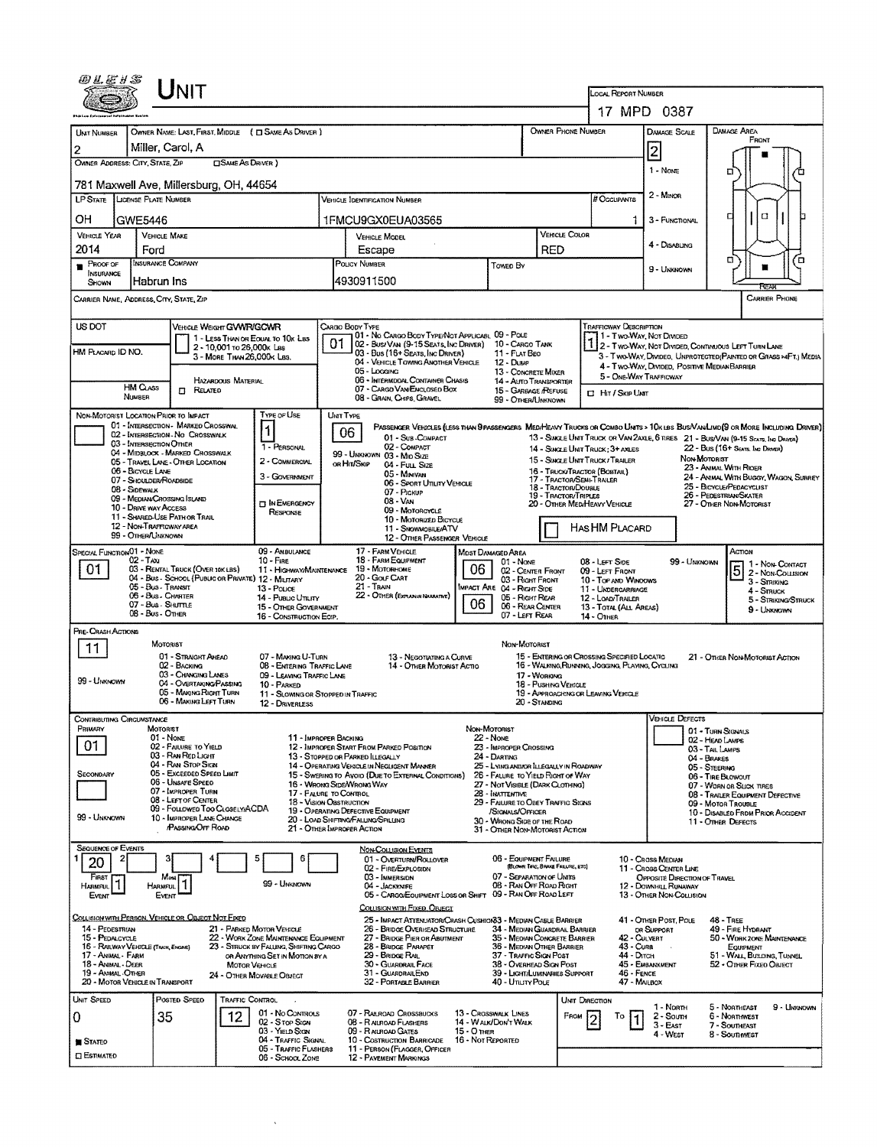|                                                                       |                                                                       | UNIT                                                                 |                            |                                                                               |           |                                                                                                                               |                                              |                                                                             |                                             | LOCAL REPORT NUMBER                                                                             |                                                                                   |                                                              |                                                                 |
|-----------------------------------------------------------------------|-----------------------------------------------------------------------|----------------------------------------------------------------------|----------------------------|-------------------------------------------------------------------------------|-----------|-------------------------------------------------------------------------------------------------------------------------------|----------------------------------------------|-----------------------------------------------------------------------------|---------------------------------------------|-------------------------------------------------------------------------------------------------|-----------------------------------------------------------------------------------|--------------------------------------------------------------|-----------------------------------------------------------------|
|                                                                       |                                                                       |                                                                      |                            |                                                                               |           |                                                                                                                               |                                              |                                                                             |                                             |                                                                                                 | 17 MPD 0387                                                                       |                                                              |                                                                 |
| UNT NUMBER                                                            |                                                                       |                                                                      |                            | OWNER NAME: LAST, FIRST, MIDDLE ( C SAME AS DRIVER )                          |           |                                                                                                                               |                                              |                                                                             | OWNER PHONE NUMBER                          |                                                                                                 | <b>DAMAGE SCALE</b>                                                               | <b>DAMAGE AREA</b>                                           |                                                                 |
| 2                                                                     | Miller. Carol. A                                                      |                                                                      |                            |                                                                               |           |                                                                                                                               |                                              |                                                                             |                                             |                                                                                                 | 2                                                                                 |                                                              | <b>FRONT</b>                                                    |
| OWNER ADDRESS: CITY, STATE, ZIP                                       |                                                                       |                                                                      | <b>CISAME AS DRIVER )</b>  |                                                                               |           |                                                                                                                               |                                              |                                                                             |                                             |                                                                                                 | 1 - None                                                                          | n                                                            |                                                                 |
| 781 Maxwell Ave, Millersburg, OH, 44654                               |                                                                       |                                                                      |                            |                                                                               |           |                                                                                                                               |                                              |                                                                             |                                             |                                                                                                 |                                                                                   |                                                              |                                                                 |
| LP STATE LICENSE PLATE NUMBER                                         |                                                                       |                                                                      |                            |                                                                               |           | VEHICLE IDENTIFICATION NUMBER                                                                                                 |                                              |                                                                             |                                             | # Occupants                                                                                     | 2 - Minon                                                                         |                                                              |                                                                 |
| OH                                                                    | GWE5446                                                               |                                                                      |                            |                                                                               |           | 1FMCU9GX0EUA03565                                                                                                             |                                              |                                                                             |                                             | 1.                                                                                              | 3 - FUNCTIONAL                                                                    | α                                                            | α                                                               |
| VEHICLE YEAR<br>2014                                                  | <b>VEHICLE MAKE</b><br>Ford                                           |                                                                      |                            |                                                                               |           | <b>VEHICLE MODEL</b><br>Escape                                                                                                |                                              |                                                                             | VEHICLE COLOR<br><b>RED</b>                 |                                                                                                 | 4 - DISABLING                                                                     |                                                              |                                                                 |
| $P$ ROOF OF                                                           | <b>INSURANCE COMPANY</b>                                              |                                                                      |                            |                                                                               |           | POLICY NUMBER                                                                                                                 |                                              | Towen By                                                                    |                                             |                                                                                                 |                                                                                   | ۵                                                            | Έ                                                               |
| INSURANCE<br>Shown                                                    | lHabrun Ins                                                           |                                                                      |                            |                                                                               |           | 4930911500                                                                                                                    |                                              |                                                                             |                                             |                                                                                                 | 9 - Uninnown                                                                      |                                                              | REA                                                             |
| CARRIER NAME, ADDRESS, CITY, STATE, ZIP                               |                                                                       |                                                                      |                            |                                                                               |           |                                                                                                                               |                                              |                                                                             |                                             |                                                                                                 |                                                                                   |                                                              | <b>CARRIER PHONE</b>                                            |
| US DOT                                                                |                                                                       | <b>VEHICLE WEIGHT GVWR/GCWR</b>                                      |                            |                                                                               |           | CARGO BODY TYPE                                                                                                               |                                              |                                                                             |                                             | TRAFFICWAY DESCRIPTION                                                                          |                                                                                   |                                                              |                                                                 |
|                                                                       |                                                                       |                                                                      | 2 - 10,001 To 26,000 k Les | 1 - LESS THAN OR EQUAL TO 10K LBS                                             | 01        | 01 - No CARGO BODY TYPE/NOT APPLICABL 09 - POLE<br>02 - Bus/Van (9-15 Seats, Inc Driver) 10 - Cargo Tank                      |                                              |                                                                             |                                             | 11 - Two-Way, Not Divided                                                                       | 1 2 - TWO-WAY, NOT DIVIDED, CONTINUOUS LEFT TURN LANE                             |                                                              |                                                                 |
| HM PLACARD ID NO.                                                     |                                                                       |                                                                      | 3 - MORE THAN 26,000K LBS. |                                                                               |           | 03 - Bus (16+ Seats, Inc Driver)<br>04 - VEHICLE TOWING ANOTHER VEHICLE                                                       |                                              | 11 - FLAT BEO<br>12 - Duwe                                                  |                                             |                                                                                                 | 4 - Two-Way, DIVIDED, POSITIVE MEDIAN BARRIER                                     |                                                              | 3 - Two-Way, Divideo, Unprotected (Painted or Grass >4F1) Media |
|                                                                       | <b>HM CLASS</b>                                                       |                                                                      | HAZARDOUS MATERIAL         |                                                                               |           | 05 - Logging<br>06 - INTERMODAL CONTAINER CHASIS                                                                              |                                              | 13 - CONCRETE MIXER<br>14 - AUTO TRANSPORTER                                |                                             | 5 - ONE-WAY TRAFFICWAY                                                                          |                                                                                   |                                                              |                                                                 |
|                                                                       | NUMBER                                                                | <b>D</b> RELATED                                                     |                            |                                                                               |           | 07 - CARGO VAN ENCLOSED BOX<br>08 - GRAIN, CHIPS, GRAVEL                                                                      |                                              | 15 - GARBAGE REFUSE<br>99 - Other/Unknown                                   |                                             | <b>C</b> Hr / Skip Unit                                                                         |                                                                                   |                                                              |                                                                 |
| NON-MOTORIST LOCATION PRIOR TO IMPACT                                 | 01 - INTERSECTION - MARKED CROSSWAL                                   |                                                                      |                            | TYPE OF USE                                                                   | UNIT TYPE | PASSENGER VEHICLES (LESS THAN 9 PASSENGERS MED/HEAVY TRUCKS OR COMBO UNITS > 10K LBS BUS/VAV/LIMD(9 OR MORE INCLUDING DRIVER) |                                              |                                                                             |                                             |                                                                                                 |                                                                                   |                                                              |                                                                 |
|                                                                       | 02 - INTERSECTION - NO CROSSWALK<br>03 - INTERSECTION OTHER           |                                                                      |                            |                                                                               |           | 06<br>01 - Sub-COMPACT                                                                                                        |                                              |                                                                             |                                             | 13 - SINGLE UNIT TRUCK OR VAN ZAXLE, 6 TRES 21 - BUS/VAN (9-15 SEATS, ING DRAYER)               |                                                                                   |                                                              |                                                                 |
|                                                                       | 04 - MIDBLOCK - MARKED CROSSWALK<br>05 - TRAVEL LANE - OTHER LOCATION |                                                                      |                            | 1 - PERSONAL<br>2 - COMMERCIAL                                                |           | 02 - COMPACT<br>99 - UNKNOWN 03 - Mio Size                                                                                    |                                              |                                                                             |                                             | 14 - SINGLE UNIT TRUCK: 3+ AXLES<br>15 - SINGLE UNIT TRUCK / TRAILER                            |                                                                                   | 22 - Bus (16+ Seats, Inc Driver)<br>NON-MOTORIST             |                                                                 |
|                                                                       | 06 - BICYCLE LANE<br>07 - SHOULDER/ROADSIDE                           |                                                                      |                            | 3 - GOVERNMENT                                                                |           | OR HIT/SKIP<br>04 - FutL Size<br>05 - MINIVAN                                                                                 |                                              |                                                                             | 17 - TRACTOR/SEMI-TRAILER                   | 16 - TRUCK/TRACTOR (BOBTAIL)                                                                    |                                                                                   | 23 - ANIMAL WITH RIOER                                       | 24 - ANIMAL WITH BUGGY, WAGON, SURREY                           |
|                                                                       | 08 - Sidewalk<br>09 - MEDIAN CROSSING ISLAND                          |                                                                      |                            |                                                                               |           | 06 - Sport Utility Vehicle<br>07 - Pickup                                                                                     |                                              |                                                                             | 18 - TRACTOR/DOUBLE<br>19 - TRACTOR/TRIPLES |                                                                                                 |                                                                                   | 25 - BICYCLE/PEDACYCLIST<br>26 - Pedestrian/Skater           |                                                                 |
|                                                                       | 10 - DRIVE WAY ACCESS<br>11 - SHARED-USE PATH OR TRAIL                |                                                                      |                            | <b>DINEMERGENCY</b><br>RESPONSE                                               |           | 08 - VAN<br>09 - MOTORCYCLE                                                                                                   |                                              |                                                                             |                                             | 20 - OTHER MEDIHEAVY VEHICLE                                                                    |                                                                                   | 27 - OTHER NDN-MOTORIST                                      |                                                                 |
|                                                                       | 12 - NON-TRAFFICWAY AREA<br>99 - OTHER/UNKNOWN                        |                                                                      |                            |                                                                               |           | 10 - MOTORIZED BICYCLE<br>11 - SNOWMOBILE/ATV<br>12 - OTHER PASSENGER VEHICLE                                                 |                                              |                                                                             |                                             | HASHM PLACARD                                                                                   |                                                                                   |                                                              |                                                                 |
| SPECIAL FUNCTION 01 - NONE                                            |                                                                       |                                                                      |                            | 09 - AMBULANCE                                                                |           | 17 - FARM VEHICLE                                                                                                             | <b>MOST DAMAGED AREA</b>                     |                                                                             |                                             |                                                                                                 |                                                                                   | Астом                                                        |                                                                 |
| 01.                                                                   | 02 - Taxi                                                             | 03 - RENTAL TRUCK (OVER 10KLBS)                                      |                            | 10 - FIRE<br>11 - HIGHWAY/MAINTENANCE                                         |           | 18 - FARM EQUIPMENT<br>19 - MOTORHOME                                                                                         | 06                                           | $01 - None$<br>02 - CENTER FRONT                                            |                                             | 08 - Lert Sipe<br>09 - LEFT FRONT                                                               | 99 - Unknown                                                                      |                                                              | $\overline{5}$ $\overline{2}$ - Non-Contact                     |
|                                                                       | 05 - Bus - Transit                                                    |                                                                      |                            | 04 - BUS - SCHOOL (PUBLIC OR PRIVATE) 12 - MILITARY<br>13 - Pouce             |           | 20 - Gour Cart<br>21 - TRAIN                                                                                                  |                                              | 03 - Right Front<br>MPACT ARE 04 - RIGHT SIDE                               |                                             | 10 - TOP AND WINDOWS<br>11 - UNDERCARRIAGE                                                      |                                                                                   |                                                              | 3 - STRIKING<br>4 - Struck                                      |
|                                                                       | 06 - Bus - CHARTER<br>07 - Bus - SHUTTLE                              |                                                                      |                            | 14 - Pusuc UTILITY<br>15 - OTHER GOVERNMENT                                   |           | 22 ~ OTHER (EXPLAN IN NARRATIVE)                                                                                              | 06                                           | 05 - Right Rear<br>06 - REAR CENTER                                         |                                             | 12 - LOAD/TRAILER<br>13 - TOTAL (ALL AREAS)                                                     |                                                                                   |                                                              | 5 - STRIKING/STRUCK<br>9 - Unknown                              |
| PRE-CRASH ACTIONS                                                     | 08 - Bus - OTHER                                                      |                                                                      |                            | 16 - CONSTRUCTION EOIP.                                                       |           |                                                                                                                               |                                              | 07 - LEFT REAR                                                              |                                             | 14 - Отнев                                                                                      |                                                                                   |                                                              |                                                                 |
| 11                                                                    | MOTORIST                                                              |                                                                      |                            |                                                                               |           |                                                                                                                               |                                              | NON-MOTORIST                                                                |                                             |                                                                                                 |                                                                                   |                                                              |                                                                 |
|                                                                       |                                                                       | 01 - STRAIGHT AHEAD<br>02 - BACKING                                  |                            | 07 - MAKING U-TURN<br>08 - ENTERING TRAFFIC LANE                              |           | 13 - NEGOTIATING A CURVE<br>14 - OTHER MOTORIST ACTIO                                                                         |                                              |                                                                             |                                             | 15 - EMTERING OR CROSSING SPECIFIED LOCATIO<br>16 - WALKING, RUNNING, JOGGING, PLAYING, CYCLING |                                                                                   | 21 - OTHER NON-MOTORIST ACTION                               |                                                                 |
| 99 - Unknown                                                          |                                                                       | 03 - CHANGING LANES<br>04 - OVERTAKING/PASSING                       |                            | 09 - LEAVING TRAFFIC LANE<br>10 - PARKED                                      |           |                                                                                                                               |                                              |                                                                             | 17 - WORKING<br>18 - Pushing Venicle        |                                                                                                 |                                                                                   |                                                              |                                                                 |
|                                                                       |                                                                       | 05 - MAKING RIGHT TURN<br>06 - MAKING LEFT TURN                      |                            | 11 - SLOWING OR STOPPED IN TRAFFIC<br>12 - DRIVERLESS                         |           |                                                                                                                               |                                              |                                                                             | 20 - STANDING                               | 19 - APPROACHING OR LEAVING VEHICLE                                                             |                                                                                   |                                                              |                                                                 |
| CONTRIBUTING CIRCUMSTANCE                                             |                                                                       |                                                                      |                            |                                                                               |           |                                                                                                                               |                                              |                                                                             |                                             |                                                                                                 | Vehicle Defects                                                                   |                                                              |                                                                 |
| PRIMARY                                                               | <b>MOTORIST</b><br>01 - None                                          |                                                                      |                            | 11 - IMPROPER BACKING                                                         |           |                                                                                                                               | NON-MOTORIST<br>22 - Nove                    |                                                                             |                                             |                                                                                                 |                                                                                   | 01 - TURN SIGNALS<br>02 - HEAD LAMPS                         |                                                                 |
| 01                                                                    |                                                                       | 02 - FAILURE TO YIELD<br>03 - RAN RED LIGHT                          |                            |                                                                               |           | 12 - IMPROPER START FROM PARKED POSITION<br>13 STOPPED OR PARKED ILLEGALLY                                                    |                                              | 23 - Improper Crossing<br>24 - DARTING                                      |                                             |                                                                                                 |                                                                                   | 03 - TAIL LAMPS<br>04 - BRAKES                               |                                                                 |
| SECONDARY                                                             |                                                                       | 04 - RAN STOP SIGN<br>05 - Exceeped Speed Limit<br>06 - UNSAFE SPEED |                            |                                                                               |           | 14 - OPERATURG VEHICLE IN NEGLIGENT MANKER<br>15 - Swering to Avoid (Due to External Conditions)                              |                                              | 25 - LYING ANDIOR ILLEGALLY IN ROADWAY<br>26 - FALURE TO YIELD RIGHT OF WAY |                                             |                                                                                                 |                                                                                   | 05 - STEERING<br>06 - TIRE BLOWOUT                           |                                                                 |
|                                                                       |                                                                       | 07 - IMPROPER TURN<br>08 - LEFT OF CENTER                            |                            | 17 - FALURE TO CONTROL                                                        |           | 16 - Wrong Stoc/Wrong WAY                                                                                                     |                                              | 27 - NOT VISIBLE (DARK CLOTHING)<br>28 - INATTENTIVE                        |                                             |                                                                                                 |                                                                                   | 07 - WORN OR SLICK TIRES<br>08 - TRAILER EQUIPMENT DEFECTIVE |                                                                 |
| 99 - Unknown                                                          |                                                                       | 09 - FOLLOWED TOO CLOSELY/ACDA                                       |                            | 18 - Vision OBSTRUCTION                                                       |           | 19 - OPERATING DEFECTIVE EQUIPMENT                                                                                            |                                              | 29 - FAILURE TO OBEY TRAFFIC SIGNS<br>/Stannus/Officer                      |                                             |                                                                                                 |                                                                                   | 09 - MOTOR TROUBLE                                           | 10 - DISABLED FROM PRIOR ACCIDENT                               |
|                                                                       |                                                                       | 10 - Improper Lane Change<br><b>PASSING OFF ROAD</b>                 |                            |                                                                               |           | 20 - LOAD SHIFTING/FALUNG/SPILLING<br>21 - OTHER IMPROPER ACTION                                                              |                                              | 30 - Whong Sice of the Road<br>31 - OTHER NON-MOTORIST ACTION               |                                             |                                                                                                 |                                                                                   | 11 - OTHER DEFECTS                                           |                                                                 |
| <b>Sequence of Events</b>                                             |                                                                       |                                                                      |                            |                                                                               |           | <b>NON-COLLISION EVENTS</b>                                                                                                   |                                              |                                                                             |                                             |                                                                                                 |                                                                                   |                                                              |                                                                 |
| 2<br>20                                                               |                                                                       |                                                                      |                            | 6                                                                             |           | 01 - OVERTURN/ROLLOVER<br>02 - FIRE/EXPLOSION                                                                                 |                                              | 06 - EQUIPMENT FAILURE                                                      | (BLOWN TIME, BRAKE FAILURE, ETC)            |                                                                                                 | 10 - Cross Median<br>11 - CROSS CENTER LINE                                       |                                                              |                                                                 |
| FIRST<br>HARMFUL                                                      | Most<br>HARMFUL <sup>1</sup>                                          |                                                                      |                            | 99 - Unknown                                                                  |           | 03 - IMMERSION<br>04 - JACKKNIFE<br>05 - CARGO/EQUIPMENT LOSS OR SHIFT 09 - RAN OFF ROAD LEFT                                 |                                              | 07 - SEPARATION OF UNITS<br>08 - RAN OFF ROAD RIGHT                         |                                             |                                                                                                 | OPPOSITE DIRECTION OF TRAVEL<br>12 - DOWNHILL RUNAWAY<br>13 - OTHER NON-COLLISION |                                                              |                                                                 |
| Event                                                                 | Event                                                                 |                                                                      |                            |                                                                               |           | COLLISION WITH FIXED, OBJECT                                                                                                  |                                              |                                                                             |                                             |                                                                                                 |                                                                                   |                                                              |                                                                 |
| COLLISION WITH PERSON, VEHICLE OR OBJECT NOT FIXED<br>14 - PEDESTRIAN |                                                                       |                                                                      |                            | 21 - PARKED MOTOR VEHICLE                                                     |           | 25 - IMPACT ATTENUATOR/CRASH CUSHION33 - MEDIAN CABLE BARRIER<br>26 - BRIDGE OVERISEAD STRUCTURE                              |                                              | 34 - MEDIAN GUARDRAIL BARRIER                                               |                                             |                                                                                                 | 41 - Other Post, Pole<br>OR SUPPORT                                               | 48 - TREE<br>49 - FIRE HYDRANT                               |                                                                 |
| 15 - PEDALCYCLE                                                       | 16 - RAILWAY VEHICLE (THAIN, ENGINE)                                  |                                                                      |                            | 22 - WORK ZONE MAINTENANCE EQUIPMENT<br>23 - STRUCK BY FALUNG, SHIFTING CARGO |           | 27 - BRIDGE PIER OR ABUTMENT<br>28 - BRIDGE PARAPET                                                                           |                                              | 35 - MEDIAN CONCRETE BARRIER<br>36 - MEDIAN OTHER BARRIER                   |                                             | 42 - Culvert<br>43 - Cura                                                                       |                                                                                   | EQUIPMENT                                                    | 50 - WORK ZONE MAINTENANCE                                      |
| 17 - Animal - Farm<br>18 - Animal - Deer                              |                                                                       |                                                                      | <b>MOTOR VEHICLE</b>       | OR ANYTHING SET IN MOTION BY A                                                |           | 29 - BRIDGE RAIL<br>30 - GUARDRAIL FACE                                                                                       |                                              | 37 - TRAFFIC SIGN POST<br>38 - Overhead Sign Post                           |                                             | 44 - Олтон                                                                                      | 45 - EMBANXMENT                                                                   |                                                              | 51 - WALL, BUILDING, TUNNEL<br>52 - OTHER FIXED OBJECT          |
| 19 - Animal Other                                                     | 20 - MOTOR VEHICLE IN TRANSPORT                                       |                                                                      |                            | 24 - OTHER MOVABLE OBJECT                                                     |           | 31 - GUARDRAILEND<br>32 - PORTABLE BARRIER                                                                                    |                                              | 39 - LIGHT/LUMINARIES SUPPORT<br>40 - Unury Pous                            |                                             | 46 - FENCE<br>47 - MAILBOX                                                                      |                                                                                   |                                                              |                                                                 |
| Unit Speed                                                            |                                                                       | Posted Speed                                                         | TRAFFIC CONTROL            |                                                                               |           |                                                                                                                               |                                              |                                                                             |                                             | Unit Direction                                                                                  |                                                                                   |                                                              |                                                                 |
| 0                                                                     | 35                                                                    |                                                                      | 12                         | 01 - No COMTROLS<br>02 - Stop Sign                                            |           | 07 - RAILROAD CROSSBUCKS<br>08 - RAILROAD FLASHERS                                                                            | 13 - Crosswalk Lines<br>14 - WALK/DON'T WALK |                                                                             | FROM                                        | $To \lceil 1$                                                                                   | 1 - North<br>2 - Soum                                                             | 5 - Northeast<br>6 - Northwest                               | 9 - Unknown                                                     |
| ∎ Stateo                                                              |                                                                       |                                                                      |                            | 03 - YIELD STON<br>04 - TRAFFIC SIGNAL                                        |           | 09 - RAILROAD GATES<br>10 - COSTRUCTION BARRICADE                                                                             | $15 - 0$ THER<br>16 - Not Reported           |                                                                             |                                             |                                                                                                 | $3 - E$ AST<br>4 - WEST                                                           | 7 - SOUTHEAST<br>8 - SOUTHWEST                               |                                                                 |
| <b>CI ESTIMATED</b>                                                   |                                                                       |                                                                      |                            | 05 - TRAFFIC FLASHERS<br>06 - SCHOOL ZONE                                     |           | 11 - PERSON (FLAGGER, OFFICER<br><b>12 - PAVEMENT MARKINGS</b>                                                                |                                              |                                                                             |                                             |                                                                                                 |                                                                                   |                                                              |                                                                 |
|                                                                       |                                                                       |                                                                      |                            |                                                                               |           |                                                                                                                               |                                              |                                                                             |                                             |                                                                                                 |                                                                                   |                                                              |                                                                 |

 $\mathcal{L}^{\text{max}}_{\text{max}}$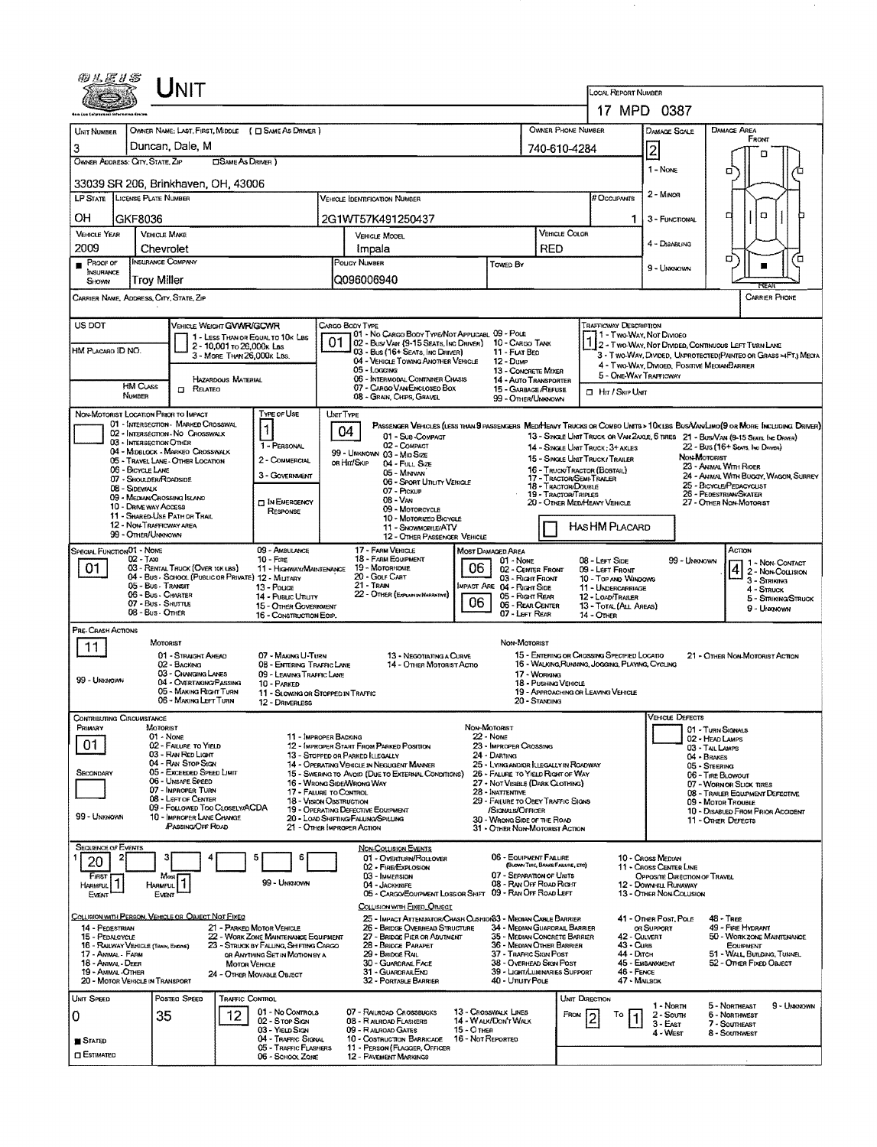|                                                                       |                                                | UNIT                                                                     |                            |                                                                                               |           |                                                                                                  |                   |                                                                                       |                                             |                                                                                                |                            |                                                                                        |                                                                                                                                                                                                                   |                     |  |  |  |
|-----------------------------------------------------------------------|------------------------------------------------|--------------------------------------------------------------------------|----------------------------|-----------------------------------------------------------------------------------------------|-----------|--------------------------------------------------------------------------------------------------|-------------------|---------------------------------------------------------------------------------------|---------------------------------------------|------------------------------------------------------------------------------------------------|----------------------------|----------------------------------------------------------------------------------------|-------------------------------------------------------------------------------------------------------------------------------------------------------------------------------------------------------------------|---------------------|--|--|--|
|                                                                       |                                                |                                                                          |                            |                                                                                               |           |                                                                                                  |                   |                                                                                       |                                             | LOCAL REPORT NUMBER                                                                            |                            | 17 MPD 0387                                                                            |                                                                                                                                                                                                                   |                     |  |  |  |
| <b>UNIT NUMBER</b>                                                    |                                                |                                                                          |                            | OWNER NAME: LAST, FIRST, MIDDLE ( C SAME AS DRIVER )                                          |           |                                                                                                  |                   |                                                                                       |                                             | <b>OWNER PHONE NUMBER</b>                                                                      |                            | DAMAGE SCALE                                                                           | DAMAGE AREA                                                                                                                                                                                                       |                     |  |  |  |
| 3                                                                     |                                                | Duncan, Dale, M                                                          |                            |                                                                                               |           |                                                                                                  |                   |                                                                                       | 740-610-4284                                |                                                                                                |                            | $\overline{2}$                                                                         | FRONT                                                                                                                                                                                                             |                     |  |  |  |
| OWNER ADDRESS: CITY, STATE, ZIP                                       |                                                |                                                                          | <b>CISAME AS DRIVER</b> )  |                                                                                               |           |                                                                                                  |                   |                                                                                       |                                             |                                                                                                |                            | $1 - None$                                                                             | n<br>α                                                                                                                                                                                                            |                     |  |  |  |
| 33039 SR 206, Brinkhaven, OH, 43006                                   |                                                |                                                                          |                            |                                                                                               |           |                                                                                                  |                   |                                                                                       |                                             |                                                                                                |                            | 2 - Mayon                                                                              |                                                                                                                                                                                                                   |                     |  |  |  |
| <b>LP STATE</b>                                                       | <b>LICENSE PLATE NUMBER</b>                    |                                                                          |                            |                                                                                               |           | <b>VEHICLE IDENTIFICATION NUMBER</b>                                                             |                   |                                                                                       |                                             | # Occupants                                                                                    |                            |                                                                                        |                                                                                                                                                                                                                   |                     |  |  |  |
| OН<br><b>VEHICLE YEAR</b>                                             | GKF8036<br><b>VEHICLE MAKE</b>                 |                                                                          |                            |                                                                                               |           | 2G1WT57K491250437<br>VEHICLE MODEL                                                               |                   |                                                                                       | VEHICLE COLOR                               |                                                                                                | 1.                         | 3 - FUNCTIONAL                                                                         | o<br>α                                                                                                                                                                                                            |                     |  |  |  |
| 2009                                                                  | Chevrolet                                      |                                                                          |                            |                                                                                               |           | Impala                                                                                           |                   |                                                                                       | RED                                         |                                                                                                |                            | 4 - DISABLING                                                                          |                                                                                                                                                                                                                   |                     |  |  |  |
| PROOF OF<br>INSURANCE<br>SHOWN                                        | <b>INSURANCE COMPANY</b><br>Troy Miller        |                                                                          |                            |                                                                                               |           | POLICY NUMBER<br>Q096006940                                                                      |                   | TOMED BY                                                                              |                                             |                                                                                                |                            | 9 - Unknown                                                                            | σ                                                                                                                                                                                                                 | ם                   |  |  |  |
| CARRIER NAME, ADDRESS, CITY, STATE, ZIP                               |                                                |                                                                          |                            |                                                                                               |           |                                                                                                  |                   |                                                                                       |                                             |                                                                                                |                            |                                                                                        | <b>CARRIER PHONE</b>                                                                                                                                                                                              |                     |  |  |  |
| US DOT                                                                |                                                | VEHICLE WEIGHT GWWR/GCWR                                                 |                            |                                                                                               |           | CARGO BODY TYPE<br>01 - No CARGO BODY TYPE/NOT APPLICABL 09 - POLE                               |                   |                                                                                       |                                             | <b>TRAFFICWAY DESCRIPTION</b>                                                                  |                            |                                                                                        |                                                                                                                                                                                                                   |                     |  |  |  |
| HM PLACARO ID NO.                                                     |                                                |                                                                          | 2 - 10,001 то 26,000к Las  | 1 - LESS THAN OR EQUAL TO 10K LBS                                                             | 01        | 02 - Bus/Van (9-15 Seats, Inc Driver)<br>03 - Bus (16+ Seats, Inc Driver)                        |                   | 10 - CARGO TANK<br>11 - FLAT BED                                                      |                                             |                                                                                                |                            | 1 - Two-Way, Not Divideo                                                               | 2 - Two-Way, Not Divided, Continuous Left Turn Lane                                                                                                                                                               |                     |  |  |  |
|                                                                       |                                                |                                                                          | 3 - MORE THAN 26,000K LBS. |                                                                                               |           | 04 - VERICLE TOWING ANOTHER VEHICLE<br>05 - Locaine                                              |                   | 12 - Dump<br>13 - CONCRETE MIXER                                                      |                                             |                                                                                                |                            | 5 - ONE-WAY TRAFFICWAY                                                                 | 3 - T WO-WAY, DIVIDED, UNPROTECTED (PAINTED OR GRASS >4FT.) MEDIA<br>4 - Two-Way, Divided, Positive MedianBarrier                                                                                                 |                     |  |  |  |
|                                                                       | <b>HM Cuss</b><br>NUMBER                       | $\Box$ Related                                                           | HAZARDOUS MATERIAL         |                                                                                               |           | 06 - INTERMODAL CONTAINER CHASIS<br>07 - CARGO VAN/ENCLOSEO BOX<br>08 - GRAIN, CHIPS, GRAVEL     |                   | 14 - AUTO TRANSPORTER<br>15 - GARBAGE /REFLISE                                        |                                             | <b>I Hr / SKIP UNIT</b>                                                                        |                            |                                                                                        |                                                                                                                                                                                                                   |                     |  |  |  |
| NON-MOTORIST LOCATION PRIOR TO IMPACT                                 |                                                |                                                                          |                            | TYPE OF USE                                                                                   | UNIT TYPE |                                                                                                  |                   | 99 - OTHER/UNKNOWN                                                                    |                                             |                                                                                                |                            |                                                                                        |                                                                                                                                                                                                                   |                     |  |  |  |
|                                                                       |                                                | 01 - INTERSECTION MARKED CROSSWAL<br>02 - INTERSECTION - NO CROSSWALK    |                            | $\mathbf{1}$                                                                                  |           | 04<br>01 - Sub-COMPACT                                                                           |                   |                                                                                       |                                             |                                                                                                |                            |                                                                                        | PASSENGER VEHICLES (LESS THAN B PASSENGERS MEDITIENT TRUCKS OR COMBO UNITS > 10KLBS BUSVAN/LIMO(9 OR MORE INCLUDING DRIVER)<br>13 - SINGLE UNIT TRUCK OR VAN 2AXLE, 6 TIRES 21 - BUS/VAN (9-15 SEATS. INC ORIVER) |                     |  |  |  |
|                                                                       | 03 - INTERSECTION OTHER                        | 04 - MIDBLOCK - MARKEO CROSSWALK<br>05 - Travel Lane - OTHER LOCATION    |                            | 1 - PERSONAL<br>2 - COMMERCIAL                                                                |           | 02 - COMPACT<br>99 - UNKNOWN 03 - MID SIZE                                                       |                   |                                                                                       |                                             | 14 - SINGLE UNIT TRUCK: 3+ AXLES<br>15 - SINGLE UNIT TRUCK/ TRAILER                            |                            |                                                                                        | 22 - Bus (16+ Sexts, Inc Draver)<br>Non-Mororust                                                                                                                                                                  |                     |  |  |  |
|                                                                       | 06 - BICYCLE LANE<br>07 - SHOULDER/ROADSIDE    |                                                                          |                            | 3 - GOVERNMENT                                                                                |           | or Hit/Skip<br>04 - FULL SIZE<br>05 - MINIVAN<br>06 - Sport Unuty VEHICLE                        |                   |                                                                                       |                                             | 16 - Truck/Tractor (Bostal)<br>17 - Tractor/Semi-Trailer                                       |                            |                                                                                        | 23 - ANIMAL WITH RIDER<br>24 - ANIMAL WITH BUGGY, WAGON, SURREY                                                                                                                                                   |                     |  |  |  |
|                                                                       | 08 - Sidewalk<br>09 - MEDIAN/CROSSING ISLAND   |                                                                          |                            | <b>IN EMERGENCY</b>                                                                           |           | 07 - PICKUP<br>$08 - V_{AN}$                                                                     |                   |                                                                                       | 18 - Tractor/Double<br>19 - TRACTOR/TRIPLES | 20 - OTHER MED/HEAVY VEHICLE                                                                   |                            |                                                                                        | 25 - BICYCLE/PEDACYCLIST<br>26 - PEDESTRIAN/SKATER<br>27 - OTHER NON-MOTORIST                                                                                                                                     |                     |  |  |  |
|                                                                       | 10 - DRIVE WAY ACCESS                          | 11 - SHARED-USE PATH OR TRAIL                                            |                            | <b>RESPONSE</b>                                                                               |           | 09 - Motorcycle<br>10 - MOTORIZEO BICYCLE                                                        |                   |                                                                                       |                                             |                                                                                                |                            |                                                                                        |                                                                                                                                                                                                                   |                     |  |  |  |
|                                                                       | 12 - NON-TRAFFICWAY AREA<br>99 - OTHER/UNKNOWN |                                                                          |                            |                                                                                               |           | 11 - SNOWMOBILE/ATV<br>12 - OTHER PASSENGER VEHICLE                                              |                   |                                                                                       |                                             | HASHM PLACARD                                                                                  |                            |                                                                                        |                                                                                                                                                                                                                   |                     |  |  |  |
| SPECIAL FUNCTION 01 - NONE                                            | $02 -$ Taxi                                    |                                                                          |                            | 09 - AMBULANCE<br>$10 -$ FIRE                                                                 |           | 17 - FARM VEHICLE<br>18 - FARM EQUIPMENT<br>19 - MOTORHOME                                       |                   | <b>MOST DAMAGED AREA</b><br>01 - None                                                 |                                             | 08 - LEFT SIDE                                                                                 |                            | 99 - Unknown                                                                           | Астом<br>1 - Non-Contact                                                                                                                                                                                          |                     |  |  |  |
| 01                                                                    | 05 - Bus - Transit                             | 03 - RENTAL TRUCK (OVER 10K LBS)                                         |                            | 11 - HIGHWAY/MAINTENANCE<br>04 - Bus - SCHOOL (PUBLIC OR PRIVATE) 12 - MILITARY<br>13 - Pouce |           | 20 - Golf Cart<br>21 - Tran                                                                      | 06                | 02 - CENTER FRONT<br>03 - Right Front<br>MPACT ARE 04 - RIGHT SIDE                    |                                             | 09 - LEFT FRONT<br>10 - TOP AND WINDOWS<br>11 - UNDERCARRIAGE                                  |                            |                                                                                        | $412 -$ Non-Collision<br>3 - Striking                                                                                                                                                                             |                     |  |  |  |
|                                                                       | 06 - Bus - Charter<br>07 - Bus - SHUTTLE       |                                                                          |                            | 14 - Pusuc Unury<br>15 - OTHER GOVERNMENT                                                     |           | 22 - OTHER (EXPLAN IN NARRATIVE)                                                                 | 06                | 05 - Right Rear<br>06 - REAR CENTER                                                   |                                             | 12 - LOAD/TRAILER<br>13 - TOTAL (ALL AREAS)                                                    |                            |                                                                                        | 4 - Struck<br>9 - Unknown                                                                                                                                                                                         | 5 - STRIKING/STRUCK |  |  |  |
| PRE-CRASH ACTIONS                                                     | 08 - Bus - OTHER                               |                                                                          |                            | 16 - CONSTRUCTION EOIP.                                                                       |           |                                                                                                  |                   | 07 - LEFT REAR                                                                        |                                             | 14 - OTHER                                                                                     |                            |                                                                                        |                                                                                                                                                                                                                   |                     |  |  |  |
| 11.                                                                   | MOTORIST                                       |                                                                          |                            |                                                                                               |           |                                                                                                  |                   | NON MOTORIST                                                                          |                                             |                                                                                                |                            |                                                                                        |                                                                                                                                                                                                                   |                     |  |  |  |
|                                                                       |                                                | 01 - STRAIGHT AHEAD<br>02 - BACKING                                      |                            | 07 - MAKING U-TURN<br>08 - ENTERING TRAFFIC LANE                                              |           | 13 - Negotiating a Curve<br>14 - OTHER MOTORIST ACTIO                                            |                   |                                                                                       |                                             | 15 - ENTERING OR CROSSING SPECIFIED LOCATIO<br>16 - WALKING RUNNING, JOGGING, PLAYING, CYCLING |                            |                                                                                        | 21 - Other Non-Motorist Action                                                                                                                                                                                    |                     |  |  |  |
| 99 - Linkmawn                                                         |                                                | 03 - CHANGING LANES<br>04 - OVERTAKING/PASSING<br>05 - MAKING RIGHT TURN |                            | 09 - LEAVING TRAFFIC LANE<br>10 - PARKED<br>11 - SLOWING OR STOPPED IN TRAFFIC                |           |                                                                                                  |                   |                                                                                       | 17 - WORKING<br>18 - Pushing Vericle        | 19 - APPROACHING OR LEAVING VEHICLE                                                            |                            |                                                                                        |                                                                                                                                                                                                                   |                     |  |  |  |
|                                                                       |                                                | 06 - MAKING LEFT TURN                                                    |                            | 12 - DRIVERLESS                                                                               |           |                                                                                                  |                   |                                                                                       | 20 - Standing                               |                                                                                                |                            |                                                                                        |                                                                                                                                                                                                                   |                     |  |  |  |
| Contributing Circumstance<br>Primary                                  | MOTORIST<br>01 - None                          |                                                                          |                            | 11 - IMPROPER BACKING                                                                         |           |                                                                                                  |                   | NON-MOTORIST<br>$22 - N$                                                              |                                             |                                                                                                |                            | VEHICLE LJEFECTS                                                                       | 01 - TURN SIGNALS                                                                                                                                                                                                 |                     |  |  |  |
| 01                                                                    |                                                | 02 - FAILURE TO YIELD<br>03 - RAN RED LIGHT                              |                            |                                                                                               |           | 12 - IMPROPER START FROM PARKED POSITION<br>13 - STOPPED OR PARKED ILLEGALLY                     |                   | 23 - IMPROPER CROSSING<br>24 - DARTING                                                |                                             |                                                                                                |                            |                                                                                        | 02 - HEAD LAMPS<br>03 - TAIL LAMPS<br>04 - BRAKES                                                                                                                                                                 |                     |  |  |  |
| SECONDARY                                                             |                                                | 04 - RAN STOP SIGN<br>05 - Exceeded Speed Limit                          |                            |                                                                                               |           | 14 - OPERATING VEHICLE IN NEGLIGENT MANNER<br>15 - SWERING TO AVOID (DUE TO EXTERNAL CONDITIONS) |                   | 25 - LYING AND/OR LLEGALLY IN ROADWAY<br>26 - FALURE TO YIELD RIGHT OF WAY            |                                             |                                                                                                |                            |                                                                                        | 05 - STEERING<br>06 - TIRE BLOWOUT                                                                                                                                                                                |                     |  |  |  |
|                                                                       |                                                | 06 - UNSAFE SPEED<br>07 - IMPROPER TURN<br>08 - LEFT OF CENTER           |                            | 17 - FALURE TO CONTROL                                                                        |           | 16 - WRONG SIDEAVRONG WAY                                                                        |                   | 27 - NOT VISIBLE (DARK CLOTHING)<br>28 - INATTENTIVE                                  |                                             |                                                                                                |                            |                                                                                        | 07 - WORN OR SLICK TIRES<br>08 - TRAILER EQUIPMENT DEFECTIVE                                                                                                                                                      |                     |  |  |  |
| 99 - UNKNOWN                                                          |                                                | 09 - FOLLOWED TOO CLOSELY/ACDA<br>10 - IMPROPER LANE CHANGE              |                            | <b>18 - VISION OBSTRUCTION</b>                                                                |           | 19 - OPERATING DEFECTIVE EQUIPMENT<br>20 - LOAD SHIFTING/FALLING/SPILLING                        |                   | 29 - FAILURE TO OBEY TRAFFIC SIGNS<br>/Signals/Officer<br>30 - WRONG SIDE OF THE ROAD |                                             |                                                                                                |                            |                                                                                        | 09 - Motor Trouble<br>10 - DISABLED FROM PRIOR ACCIDENT<br>11 - Other Defects                                                                                                                                     |                     |  |  |  |
|                                                                       |                                                | PASSING OFF ROAD                                                         |                            |                                                                                               |           | 21 - OTHER IMPROPER ACTION                                                                       |                   | 31 - OTHER NON-MOTORIST ACTION                                                        |                                             |                                                                                                |                            |                                                                                        |                                                                                                                                                                                                                   |                     |  |  |  |
| <b>SEQUENCE OF EVENTS</b><br>20                                       |                                                |                                                                          |                            |                                                                                               |           | <b>NON-COLLISION EVENTS</b><br>01 - OVERTURN/ROLLOVER                                            |                   | 06 - EQUIPMENT FAILURE                                                                |                                             |                                                                                                |                            | 10 - Cross Median                                                                      |                                                                                                                                                                                                                   |                     |  |  |  |
| <b>FIRST</b><br>HARMFUL <sup>1</sup>                                  | Most                                           |                                                                          |                            | 99 - Unknown                                                                                  |           | 02 - FIRE/EXPLOSION<br>03 - IMMERSION<br>04 - JACKKNIFE                                          |                   | 07 - SEPARATION OF UNITS<br>08 - RAN OFF ROAD RIGHT                                   | (BLOWN TIRE, BRAKE FAILURE, ETC)            |                                                                                                |                            | 11 - Cross CENTER LINE<br><b>OPPOSITE DIRECTION OF TRAVEL</b><br>12 - DOWNHILL RUNAWAY |                                                                                                                                                                                                                   |                     |  |  |  |
| EVENT                                                                 | <b>HARMFUL</b><br>Event                        |                                                                          |                            |                                                                                               |           | 05 - CARGO/EQUIPMENT LOSS OR SHIFT<br>COLUSION WITH EIXED, ORJECT                                |                   | 09 - RAN OFF ROAD LEFT                                                                |                                             |                                                                                                |                            | 13 - OTHER NON-COLUSION                                                                |                                                                                                                                                                                                                   |                     |  |  |  |
| COLLISION WITH PERSON, VEHICLE OR OBJECT NOT FIXED<br>14 - PEDESTRIAN |                                                |                                                                          |                            | 21 - PARKED MOTOR VEHICLE                                                                     |           | 25 - IMPACT ATTEMJATOR/CRASH CUSHIONS3 - MEDIAN CABLE BARRIER<br>26 - BRIDGE OVERHEAD STRUCTURE  |                   | 34 - MEDIAN GUARDRAIL BARRIER                                                         |                                             |                                                                                                |                            | 41 - Onen Post, Pour                                                                   | 48 - TREE<br>49 - FIRE HYDRANT                                                                                                                                                                                    |                     |  |  |  |
| 15 - PEDALCYCLE<br>16 - RAILWAY VEHICLE (TANN, ENDRE)                 |                                                |                                                                          |                            | 22 - WORK ZONE MAINTENANCE EQUIPMENT<br>23 - STRUCK BY FALLING, SHIFTING CARGO                |           | 27 - BRIDGE PIER OR ABUTMENT<br>28 - BRIDGE PARAPET                                              |                   | 35 - MEDIAN CONCRETE BARRIER<br>36 - MEDIAN OTHER BARRIER                             |                                             |                                                                                                | 42 - CULVERT<br>43 - Curs  | OR SUPPORT                                                                             | 50 - WORKZONE MAINTENANCE<br><b>EQUIPMENT</b>                                                                                                                                                                     |                     |  |  |  |
| 17 - Annal Farm<br>18 - ANIMAL - DEER                                 |                                                |                                                                          | <b>MOTOR VEHICLE</b>       | OR ANYTHING SET IN MOTION BY A                                                                |           | 29 - BRIDGE RAIL<br>30 - GUARDRAL FACE                                                           |                   | 37 - TRAFFIC SIGN POST<br>38 - Overhead Skon Post                                     |                                             |                                                                                                | 44 - Олгон                 | 45 - EMBANKMENT                                                                        | 51 - WALL, BUILDING, TUNNEL<br>52 - Omen Fixed Oakect                                                                                                                                                             |                     |  |  |  |
| 19 - AMMAL-OTHER<br>20 - MOTOR VEHICLE IN TRANSPORT                   |                                                |                                                                          |                            | 24 - Отнея Моулаце Овлест                                                                     |           | 31 - GUARDRAILEND<br>32 - PORTABLE BARRIER                                                       |                   | 39 - Light/Luminaries Support<br>40 - Unury Pous                                      |                                             |                                                                                                | 46 - FENCE<br>47 - MAILBOX |                                                                                        |                                                                                                                                                                                                                   |                     |  |  |  |
| UNIT SPEED                                                            |                                                | Posted Speed                                                             | Traffic Control            | 01 - No CONTROLS                                                                              |           | 07 - RAILROAD CROSSBUCKS                                                                         |                   | 13 - CROSSWALK LINES                                                                  |                                             | UNIT DIRECTION                                                                                 |                            | 1 - North                                                                              | 5 - NORTHEAST                                                                                                                                                                                                     | 9 - UNKNOWN         |  |  |  |
| 0                                                                     | 35                                             |                                                                          | 12                         | 02 - Stop Sign<br>03 - YIELD SIGN                                                             |           | 08 - R AILROAD FLASHERS<br>09 - RALROAD GATES                                                    | 15 - О тнев       | 14 - WALK/DONT WALK                                                                   |                                             | FROM<br>То                                                                                     |                            | $2 -$ South<br>3 - East<br>4 - West                                                    | 6 - Normwest<br>7 - SoumeAST<br>8 - Southwest                                                                                                                                                                     |                     |  |  |  |
| <b>STATED</b><br><b>C</b> ESTIMATED                                   |                                                |                                                                          |                            | 04 - TRAFFIC SIGNAL<br>05 - TRAFFIC FLASHERS                                                  |           | 10 - Costruction Barricade<br>11 PERSON (FLAQGER, OFFICER                                        | 16 - Not Reported |                                                                                       |                                             |                                                                                                |                            |                                                                                        |                                                                                                                                                                                                                   |                     |  |  |  |
|                                                                       |                                                |                                                                          |                            | 06 - SCHOOL ZONE                                                                              |           | <b>12 - PAVEMENT MARKINGS</b>                                                                    |                   |                                                                                       |                                             |                                                                                                |                            |                                                                                        |                                                                                                                                                                                                                   |                     |  |  |  |

 $\bar{z}$ 

 $\bar{c}$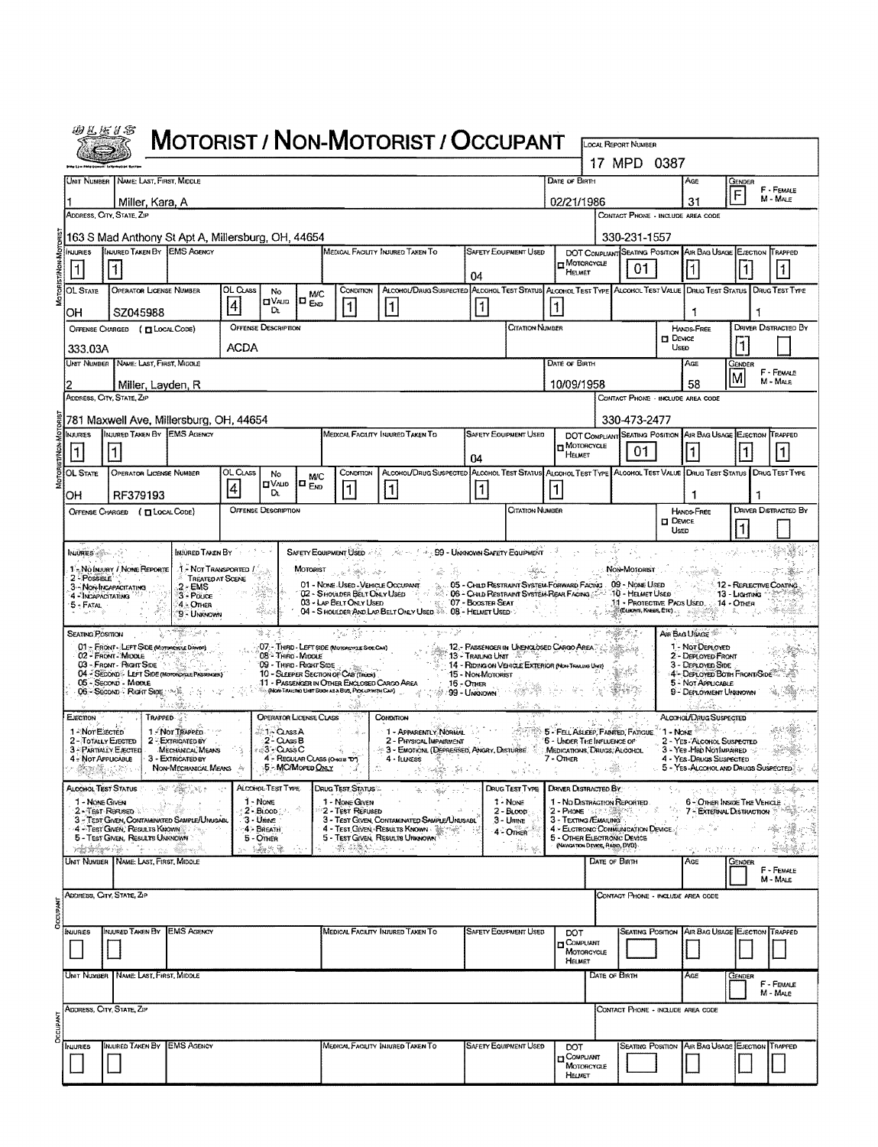| 田巴屋爿名                                           |                                                                                                                 |                                                                         |                                                                |                                     |                                                                                                                                                                 | <b>MOTORIST / NON-MOTORIST / OCCUPANT</b>                                                                                                                                                                                                                                                                                                                                                                                           |                                         |                                                           |               |                                                                                             |                                                                                                                                                                                                                                                                                                                                                                             |                          |                                                                                                |                                                        |                             |
|-------------------------------------------------|-----------------------------------------------------------------------------------------------------------------|-------------------------------------------------------------------------|----------------------------------------------------------------|-------------------------------------|-----------------------------------------------------------------------------------------------------------------------------------------------------------------|-------------------------------------------------------------------------------------------------------------------------------------------------------------------------------------------------------------------------------------------------------------------------------------------------------------------------------------------------------------------------------------------------------------------------------------|-----------------------------------------|-----------------------------------------------------------|---------------|---------------------------------------------------------------------------------------------|-----------------------------------------------------------------------------------------------------------------------------------------------------------------------------------------------------------------------------------------------------------------------------------------------------------------------------------------------------------------------------|--------------------------|------------------------------------------------------------------------------------------------|--------------------------------------------------------|-----------------------------|
|                                                 |                                                                                                                 |                                                                         |                                                                |                                     |                                                                                                                                                                 |                                                                                                                                                                                                                                                                                                                                                                                                                                     |                                         |                                                           |               |                                                                                             | LOCAL REPORT NUMBER<br>17 MPD 0387                                                                                                                                                                                                                                                                                                                                          |                          |                                                                                                |                                                        |                             |
|                                                 | UNIT NUMBER NAME: LAST, FIRST, MIDDLE                                                                           |                                                                         |                                                                |                                     |                                                                                                                                                                 |                                                                                                                                                                                                                                                                                                                                                                                                                                     |                                         |                                                           | DATE OF BIRTH |                                                                                             |                                                                                                                                                                                                                                                                                                                                                                             |                          | Age                                                                                            | GENDER                                                 |                             |
|                                                 | Miller, Kara, A                                                                                                 |                                                                         |                                                                |                                     |                                                                                                                                                                 |                                                                                                                                                                                                                                                                                                                                                                                                                                     |                                         |                                                           |               | 02/21/1986                                                                                  |                                                                                                                                                                                                                                                                                                                                                                             |                          | 31                                                                                             | F                                                      | F - FEMALE<br>M - MALE      |
|                                                 | ADDRESS, CITY, STATE, ZIP                                                                                       |                                                                         |                                                                |                                     |                                                                                                                                                                 |                                                                                                                                                                                                                                                                                                                                                                                                                                     |                                         |                                                           |               |                                                                                             | CONTACT PHONE - INCLUDE AREA CODE                                                                                                                                                                                                                                                                                                                                           |                          |                                                                                                |                                                        |                             |
| <b>NJURIES</b>                                  | 163 S Mad Anthony St Apt A, Millersburg, OH, 44654<br>INJURED TAKEN BY EMS AGENCY                               |                                                                         |                                                                |                                     |                                                                                                                                                                 | MEDICAL FACILITY INJURED TAKEN TO                                                                                                                                                                                                                                                                                                                                                                                                   |                                         | <b>SAFETY EQUIPMENT USED</b>                              |               | DOT COMPLIANT SEATING POSITION AVR BAG USAGE EVECTION TRAPPED                               | 330-231-1557                                                                                                                                                                                                                                                                                                                                                                |                          |                                                                                                |                                                        |                             |
| $\vert$ 1                                       | 1                                                                                                               |                                                                         |                                                                |                                     |                                                                                                                                                                 |                                                                                                                                                                                                                                                                                                                                                                                                                                     | 04                                      |                                                           |               | $\Box$ Motorcycle<br>HELMET                                                                 | 01                                                                                                                                                                                                                                                                                                                                                                          |                          |                                                                                                | $\vert$ 1                                              |                             |
| OL State                                        | <b>OPERATOR LICENSE NUMBER</b>                                                                                  | OL CLASS                                                                | No<br>$\square$ Valid                                          | <b>M/C</b><br>$\Box$ <sub>END</sub> | CONDITION                                                                                                                                                       | ALCOHOL/DRUG SUSPECTED ALCOHOL TEST STATUS ALCOHOL TEST TYPE ALCOHOL TEST VALUE DRUG TEST STATUS DRUG TEST TYPE                                                                                                                                                                                                                                                                                                                     |                                         |                                                           |               |                                                                                             |                                                                                                                                                                                                                                                                                                                                                                             |                          |                                                                                                |                                                        |                             |
| OH                                              | SZ045988                                                                                                        | $\vert 4$                                                               | D.                                                             |                                     | $\mathbf{1}$                                                                                                                                                    | $\vert$ 1 $\vert$                                                                                                                                                                                                                                                                                                                                                                                                                   | 1                                       |                                                           |               |                                                                                             |                                                                                                                                                                                                                                                                                                                                                                             |                          | 1                                                                                              |                                                        |                             |
|                                                 | OFFENSE CHARGED ( [ LOCAL CODE)                                                                                 | ACDA                                                                    | <b>OFFENSE DESCRIPTION</b>                                     |                                     |                                                                                                                                                                 |                                                                                                                                                                                                                                                                                                                                                                                                                                     |                                         | CITATION NUMBER                                           |               |                                                                                             |                                                                                                                                                                                                                                                                                                                                                                             | $\square$ Device<br>Useo | HANDS-FREE                                                                                     |                                                        | <b>DRIVER DISTRACTED BY</b> |
| 333.03A                                         | UNIT NUMBER NAME: LAST, FIRST, MIDDLE                                                                           |                                                                         |                                                                |                                     |                                                                                                                                                                 |                                                                                                                                                                                                                                                                                                                                                                                                                                     |                                         |                                                           | DATE OF BIRTH |                                                                                             |                                                                                                                                                                                                                                                                                                                                                                             |                          | AGE                                                                                            | Gender                                                 |                             |
|                                                 | Miller, Layden, R                                                                                               |                                                                         |                                                                |                                     |                                                                                                                                                                 |                                                                                                                                                                                                                                                                                                                                                                                                                                     |                                         |                                                           |               | 10/09/1958                                                                                  |                                                                                                                                                                                                                                                                                                                                                                             |                          | 58                                                                                             |                                                        | F - FEMALE<br>M - MALE      |
|                                                 | ADDRESS, CITY, STATE, ZIP                                                                                       |                                                                         |                                                                |                                     |                                                                                                                                                                 |                                                                                                                                                                                                                                                                                                                                                                                                                                     |                                         |                                                           |               |                                                                                             | CONTACT PHONE - INCLUDE AREA CODE                                                                                                                                                                                                                                                                                                                                           |                          |                                                                                                |                                                        |                             |
| NJURIES                                         | 781 Maxwell Ave, Millersburg, OH, 44654<br><b>INJURED TAKEN BY EMS AGENCY</b>                                   |                                                                         |                                                                |                                     |                                                                                                                                                                 | MEDICAL FACILITY INJURED TAKEN TO                                                                                                                                                                                                                                                                                                                                                                                                   |                                         | <b>SAFETY EQUIPMENT USED</b>                              |               | DOT COMPLIANT SEATING POSITION AIR BAG USAGE EJECTION TRAPPED                               | 330-473-2477                                                                                                                                                                                                                                                                                                                                                                |                          |                                                                                                |                                                        |                             |
|                                                 |                                                                                                                 |                                                                         |                                                                |                                     |                                                                                                                                                                 |                                                                                                                                                                                                                                                                                                                                                                                                                                     | 04                                      |                                                           |               | <b>MOTORCYCLE</b><br>HELMET                                                                 | 01                                                                                                                                                                                                                                                                                                                                                                          |                          |                                                                                                |                                                        |                             |
| OL STATE                                        | <b>OPERATOR LICENSE NUMBER</b>                                                                                  | OL CLASS                                                                | No<br><b>EIVALID</b>                                           | M/C<br>$ {\bf u} _{\text{Em}}$      | CONDITION                                                                                                                                                       | ALCOHOL/DRUG SUSPECTED ALCOHOL TEST STATUS ALCOHOL TEST TYPE ALCOHOL TEST VALUE DRUG TEST STATUS DRUG TEST TYPE                                                                                                                                                                                                                                                                                                                     |                                         |                                                           |               |                                                                                             |                                                                                                                                                                                                                                                                                                                                                                             |                          |                                                                                                |                                                        |                             |
| OН                                              | RF379193                                                                                                        | $\overline{\mathcal{L}}$                                                | Dı.                                                            |                                     |                                                                                                                                                                 | $\vert$ 1                                                                                                                                                                                                                                                                                                                                                                                                                           | 1                                       |                                                           |               |                                                                                             |                                                                                                                                                                                                                                                                                                                                                                             |                          | 1                                                                                              |                                                        |                             |
|                                                 | OFFENSE CHARGED (TILOCAL CODE)                                                                                  |                                                                         | <b>OFFENSE DESCRIPTION</b>                                     |                                     |                                                                                                                                                                 |                                                                                                                                                                                                                                                                                                                                                                                                                                     |                                         | <b>CITATION NUMBER</b>                                    |               |                                                                                             |                                                                                                                                                                                                                                                                                                                                                                             | $\Box$ Device<br>USED    | <b>HANDS-FREE</b>                                                                              |                                                        | <b>DRIVER DISTRACTED BY</b> |
| NUMBER AND A P                                  |                                                                                                                 | INJURED TAKEN BY                                                        |                                                                |                                     |                                                                                                                                                                 | SAFETY EQUIPMENT USED A RECORD AND MILLION OF A REPORT OF A REPORT OF A REPORT OF A REPORT OF A REPORT OF A REPORT OF A REPORT OF A REPORT OF A REPORT OF A REPORT OF A REPORT OF A REPORT OF A REPORT OF A REPORT OF A REPORT                                                                                                                                                                                                      |                                         |                                                           |               |                                                                                             |                                                                                                                                                                                                                                                                                                                                                                             |                          |                                                                                                |                                                        |                             |
| 2 POSSIBLE<br>4 - INCAPACITATING<br>$5 - FATAL$ | 1-No INJURY / NOME REPORTE<br>3 - Non-Incapacitating<br>$2 - EMS$<br>$3 - \text{Pouce}$<br>4 - OTHER            | $\Lambda$ - Not Transported $L_{\text{max}}$<br><b>TREATED AT SCENE</b> |                                                                |                                     | Motorist $\mathcal{L}_{\mathcal{S}_\mathcal{A}}$ , $\mathcal{L}_{\mathcal{S}_\mathcal{A}}$ , $\mathcal{L}_{\mathcal{S}_\mathcal{A}}$<br>03 - LAP BELT ONLY USED | 01 - None Used - Vehicle Occupant   05 - Child Restraint System Forward Factive  09 - None Used<br>102 - Shoulder Belt Only Used 1988 1989 - Child Restraint System Rear Facing (2008) 10 - Helmet Used<br>$\approx 07$ - Booster Seat                                                                                                                                                                                              |                                         |                                                           |               |                                                                                             | NON-MOTORIST                                                                                                                                                                                                                                                                                                                                                                |                          | 11 - Protective Pads Used. 14 - Other                                                          | <sup>8</sup> 12 - REFLECTIVE COATING.<br>13 - Lighting |                             |
|                                                 |                                                                                                                 | 9 - Unknown                                                             |                                                                |                                     |                                                                                                                                                                 | 04 - S HOULDER AND LAP BELT ONLY USED 88. 08 - HELMET USED                                                                                                                                                                                                                                                                                                                                                                          |                                         |                                                           |               |                                                                                             | $\begin{picture}(180,10) \put(0,0){\vector(1,0){100}} \put(0,0){\vector(1,0){100}} \put(0,0){\vector(1,0){100}} \put(0,0){\vector(1,0){100}} \put(0,0){\vector(1,0){100}} \put(0,0){\vector(1,0){100}} \put(0,0){\vector(1,0){100}} \put(0,0){\vector(1,0){100}} \put(0,0){\vector(1,0){100}} \put(0,0){\vector(1,0){100}} \put(0,0){\vector(1,0){100}} \put(0,0){\vector($ |                          |                                                                                                | R.                                                     |                             |
| <b>SEATING POSITION</b>                         | 01 - FRONT - LEFT SIDE MOTORCYCLE DRIVER)                                                                       |                                                                         | 障害<br>07 - THIRD - LEFT SIDE (MOTOROYCLE SIDE CAR)             |                                     |                                                                                                                                                                 | ng magyar 200                                                                                                                                                                                                                                                                                                                                                                                                                       |                                         | 12. PASSENGER IN UNENCLOSED CARGO AREA                    |               |                                                                                             | 190 July 1907 -                                                                                                                                                                                                                                                                                                                                                             |                          | Am BAG USAGE<br>1 - NOT DEPLOYED                                                               |                                                        |                             |
|                                                 | 02 - FRONT MIDDLE<br>03 - Front - Right Side<br>04 - SECOND - LEFT SIDE (MOTORCYCLE PASSENGER)                  |                                                                         | 08 - Third - Middle<br>$99 -$ Third - Right Side               |                                     | 10 - SLEEPER SECTION OF CAB (TRICK)                                                                                                                             |                                                                                                                                                                                                                                                                                                                                                                                                                                     | 13 - TRAILING UNIT<br>15 - Non-Motorist | ng.<br>14 - RIDING ON VEHICLE EXTERIOR (NON-TRAILER UNIT) |               |                                                                                             |                                                                                                                                                                                                                                                                                                                                                                             |                          | 2 - DEPLOYED FRONT<br>3 - DEPLOYED SIDE<br>4- DEPLOYED BOTH FRONT/SIDE                         |                                                        |                             |
|                                                 | 05 - Secono - Midoue<br><b>06 - Second - Right Stog</b> (19) S. S.                                              |                                                                         | 11 - PASSENGER IN OTHER ENGLOSED CARGO AREA                    |                                     |                                                                                                                                                                 | A MONTRAUMO UNT SUCH AS A BUS, PICK UP WITH CAP JUST THE COMPOSITION OF THE CONDUCT OF THE CONDUCT OF THE CONDUCT OF THE CONDUCT OF THE CONDUCT OF THE CONDUCT OF THE CONDUCT OF THE CONDUCT OF THE CONDUCT OF THE CONDUCT OF                                                                                                                                                                                                       | 16 - Other                              |                                                           |               |                                                                                             |                                                                                                                                                                                                                                                                                                                                                                             |                          | 5 - NOT APPLICABLE<br>9 - DEPLOYMENT UNIXNOWN                                                  |                                                        |                             |
| <b>EJECTION</b>                                 | EELER#BOAL+<br>TRAPPED                                                                                          |                                                                         | <b>OPERATOR LICENSE CLASS</b>                                  |                                     |                                                                                                                                                                 | CONDITION                                                                                                                                                                                                                                                                                                                                                                                                                           |                                         |                                                           |               |                                                                                             |                                                                                                                                                                                                                                                                                                                                                                             |                          | ALCOHOL/DRUG SUSPECTED                                                                         |                                                        |                             |
| 1 - Nor Elected<br>2- TOTALLY EJECTED           | 1 - Nor Thappen<br>2 - EXTRIGATED BY                                                                            |                                                                         | 1 Cuss A<br>$2 - \text{Class } B$                              |                                     |                                                                                                                                                                 | 1 - APPARENTLY NORMAL<br>2 - PHYSICAL IMPAIRMENT                                                                                                                                                                                                                                                                                                                                                                                    |                                         |                                                           |               | 5 - FELL ASLEEP, FAMILED, FATIGUE.<br>6 - UNDER THE INFLUENCE OF                            |                                                                                                                                                                                                                                                                                                                                                                             |                          | $1 -$ None $\frac{1}{2}$ and $\frac{1}{2}$ and $\frac{1}{2}$<br>2 - YES - ALCOHOL SUSPECTED    |                                                        |                             |
| 4 - NOT APPLICABLE<br>Frank Carl                | 3 - PARTIALLY EJECTED<br>MECHANICAL MEANS<br>3 - EXTRIGATED BY<br>NON-MECHANICAL MEANS                          | 'nу                                                                     | ⊚3 - CussC<br>4 - REGULAR CLASS (Oscis TOT)<br>5-MC/Moreo Only |                                     | i ta                                                                                                                                                            | - 3 - EMOTIONL (DEPRESSED, ANGRY, DISTURBE)<br>4 - I⊔v∈ss<br>嵩<br>$\label{eq:10} \frac{1}{2} \sum_{i=1}^{n} \frac{1}{2} \sum_{i=1}^{n} \frac{1}{2} \sum_{j=1}^{n} \frac{1}{2} \sum_{j=1}^{n} \frac{1}{2} \sum_{j=1}^{n} \frac{1}{2} \sum_{j=1}^{n} \frac{1}{2} \sum_{j=1}^{n} \frac{1}{2} \sum_{j=1}^{n} \frac{1}{2} \sum_{j=1}^{n} \frac{1}{2} \sum_{j=1}^{n} \frac{1}{2} \sum_{j=1}^{n} \frac{1}{2} \sum_{j=1}^{n} \frac{1}{2} \$ |                                         |                                                           | 7-OTHER       | MEDICATIONS, DRUGS, ALCOHOL                                                                 |                                                                                                                                                                                                                                                                                                                                                                             |                          | 3 - Yes - Hab Not IMPAIRED<br>4 - Yes - Drugs Suspected<br>5 - YES-ALCOHOL AND DRUGS SUSPECTED |                                                        |                             |
| Telefonia ya Ten<br>Aloohol Test Status         | - 1867                                                                                                          |                                                                         | WO WO<br>ALCOHOL TEST TYPE                                     |                                     | DRUG TEST STATUS                                                                                                                                                |                                                                                                                                                                                                                                                                                                                                                                                                                                     |                                         | DRUG TEST TYPE                                            |               | DRIVER DISTRACTED BY                                                                        |                                                                                                                                                                                                                                                                                                                                                                             |                          |                                                                                                |                                                        |                             |
| 1 - NONE GIVEN                                  | 2-Test Rerusen                                                                                                  |                                                                         | 1 - None<br>2-Bicco                                            |                                     | 1 - NONE GIVEN<br>2 - Test Refused                                                                                                                              |                                                                                                                                                                                                                                                                                                                                                                                                                                     |                                         | 1 - None<br>$2 - B$ LOOD                                  |               | 1 - No Distraction Reported<br>$2 -$ Phone $\frac{1}{2}$                                    |                                                                                                                                                                                                                                                                                                                                                                             |                          | 6 - OTHER INSIDE THE VEHICLE<br>7 - EXTERNAL DISTRACTION                                       |                                                        |                             |
|                                                 | 3 - TEST GIVEN, CONTAMINATED SAMPLE/UNUSABL<br>4 - Test Given, Results Known<br>5 - Test Given, Results Unknown |                                                                         | $3 -$ Uriuve<br>4 - BREATH<br>$5  O$ THER                      |                                     |                                                                                                                                                                 | 3 - Test Given, CONTAMINATED SAMPLE/UNUSABL<br>4 - Test Given, Results Known (Winter)<br>5 - Test Given, Results Unknown                                                                                                                                                                                                                                                                                                            |                                         | $3 -$ Urine<br>4 - OTHER                                  |               | 3 - TEXTING / EMAILING<br>4 - ELCTRONIC COMMUNICATION DEVICE<br>5 - OTHER ELECTRONIC DEVICE |                                                                                                                                                                                                                                                                                                                                                                             |                          |                                                                                                |                                                        |                             |
|                                                 | <b>Andrew Province Communication</b><br>UNIT NUMBER NAME: LAST, FIRST, MIDDLE                                   |                                                                         | 福岡市                                                            |                                     | $\mathcal{R}$ , $\mathcal{R}$ , $\mathcal{R}$ , $\mathcal{R}$ , $\mathcal{R}$ , $\mathcal{R}$ , $\mathcal{R}$                                                   |                                                                                                                                                                                                                                                                                                                                                                                                                                     |                                         | ki i                                                      |               | (NAVIGATION DEVICE, RADIO, DVO)<br>DATE OF BIRTH                                            |                                                                                                                                                                                                                                                                                                                                                                             |                          |                                                                                                |                                                        |                             |
|                                                 |                                                                                                                 |                                                                         |                                                                |                                     |                                                                                                                                                                 |                                                                                                                                                                                                                                                                                                                                                                                                                                     |                                         |                                                           |               |                                                                                             |                                                                                                                                                                                                                                                                                                                                                                             |                          | AGE                                                                                            | Gender                                                 | F - FEMALE<br>M - MALE      |
|                                                 | ADDRESS, CITY, STATE, ZIP                                                                                       |                                                                         |                                                                |                                     |                                                                                                                                                                 |                                                                                                                                                                                                                                                                                                                                                                                                                                     |                                         |                                                           |               |                                                                                             | CONTACT PHONE - INCLUDE AREA CODE                                                                                                                                                                                                                                                                                                                                           |                          |                                                                                                |                                                        |                             |
| OCCUPANT                                        |                                                                                                                 |                                                                         |                                                                |                                     |                                                                                                                                                                 |                                                                                                                                                                                                                                                                                                                                                                                                                                     |                                         |                                                           |               |                                                                                             |                                                                                                                                                                                                                                                                                                                                                                             |                          |                                                                                                |                                                        |                             |
| Injuries                                        | Injured Taken By<br><b>EMS AGENCY</b>                                                                           |                                                                         |                                                                |                                     |                                                                                                                                                                 | MEDICAL FACILITY INJURED TAKEN TO                                                                                                                                                                                                                                                                                                                                                                                                   |                                         | Safety Equipment Used                                     | DOT           | <b>COMPLIANT</b><br>MOTORCYCLE<br>HELMET                                                    |                                                                                                                                                                                                                                                                                                                                                                             |                          | SEATING POSITION AIR BAG USAGE EJECTION TRAPPED                                                |                                                        |                             |
|                                                 | UNIT NUMBER NAME: LAST, FIRST, MIDDLE                                                                           |                                                                         |                                                                |                                     |                                                                                                                                                                 |                                                                                                                                                                                                                                                                                                                                                                                                                                     |                                         |                                                           |               | DATE OF BIRTH                                                                               |                                                                                                                                                                                                                                                                                                                                                                             |                          | AGE                                                                                            | Gender                                                 | F - FEMALE                  |
|                                                 | ADDRESS, CITY, STATE, ZIP                                                                                       |                                                                         |                                                                |                                     |                                                                                                                                                                 |                                                                                                                                                                                                                                                                                                                                                                                                                                     |                                         |                                                           |               |                                                                                             | CONTACT PHONE - INCLUDE AREA CODE                                                                                                                                                                                                                                                                                                                                           |                          |                                                                                                |                                                        | M - Male                    |
|                                                 |                                                                                                                 |                                                                         |                                                                |                                     |                                                                                                                                                                 |                                                                                                                                                                                                                                                                                                                                                                                                                                     |                                         |                                                           |               |                                                                                             |                                                                                                                                                                                                                                                                                                                                                                             |                          |                                                                                                |                                                        |                             |
| ОССЦРААТ<br>NJURIES                             | <b>INJURED TAKEN BY EMS AGENCY</b>                                                                              |                                                                         |                                                                |                                     |                                                                                                                                                                 | MEDICAL FACILITY INJURED TAKEN TO                                                                                                                                                                                                                                                                                                                                                                                                   |                                         | SAFETY EQUIPMENT USED                                     | DOT           | <b>COMPLIANT</b>                                                                            |                                                                                                                                                                                                                                                                                                                                                                             |                          | Seating Position   Air Bag Usage                                                               | EJECTION TRAPPED                                       |                             |
|                                                 |                                                                                                                 |                                                                         |                                                                |                                     |                                                                                                                                                                 |                                                                                                                                                                                                                                                                                                                                                                                                                                     |                                         |                                                           |               | MOTORCYCLE<br>НЕШЕТ                                                                         |                                                                                                                                                                                                                                                                                                                                                                             |                          |                                                                                                |                                                        |                             |